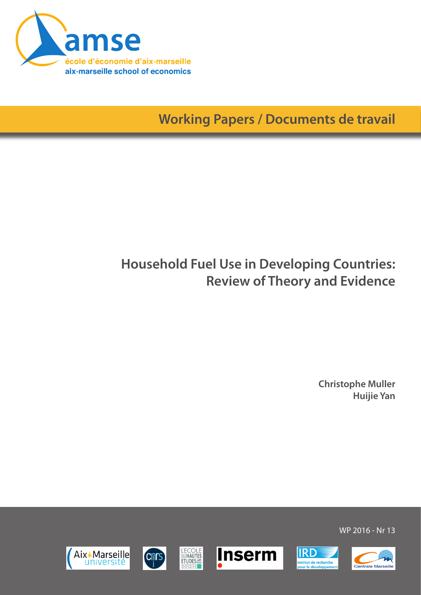

**Working Papers / Documents de travail**

# **Household Fuel Use in Developing Countries: Review of Theory and Evidence**

**Christophe Muller Huijie Yan**

WP 2016 - Nr 13







**L'ECOLE**<br>SENAUTES<br>ETUDES



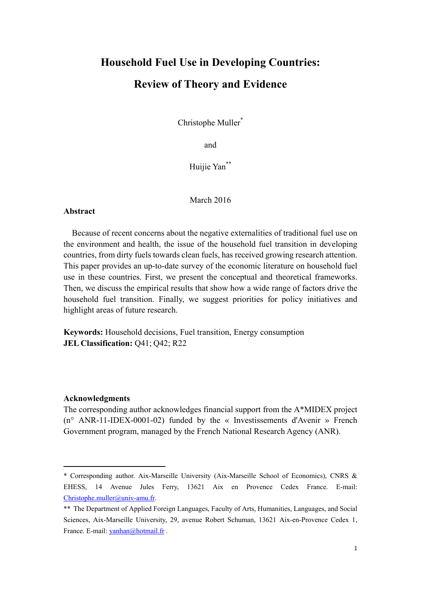# **Household Fuel Use in Developing Countries: Review of Theory and Evidence**

Christophe Muller<sup>\*</sup>

and

Huijie Yan\*\*

March 2016

#### **Abstract**

Because of recent concerns about the negative externalities of traditional fuel use on the environment and health, the issue of the household fuel transition in developing countries, from dirty fuels towards clean fuels, has received growing research attention. This paper provides an up-to-date survey of the economic literature on household fuel use in these countries. First, we present the conceptual and theoretical frameworks. Then, we discuss the empirical results that show how a wide range of factors drive the household fuel transition. Finally, we suggest priorities for policy initiatives and highlight areas of future research.

**Keywords:** Household decisions, Fuel transition, Energy consumption **JEL Classification:** Q41; Q42; R22

#### **Acknowledgments**

The corresponding author acknowledges financial support from the A\*MIDEX project (n° ANR-11-IDEX-0001-02) funded by the « Investissements d'Avenir » French Government program, managed by the French National Research Agency (ANR).

<sup>\*</sup> Corresponding author. Aix-Marseille University (Aix-Marseille School of Economics), CNRS & EHESS, 14 Avenue Jules Ferry, 13621 Aix en Provence Cedex France. E-mail: Christophe.muller@univ-amu.fr.

<sup>\*\*</sup> The Department of Applied Foreign Languages, Faculty of Arts, Humanities, Languages, and Social Sciences, Aix-Marseille University, 29, avenue Robert Schuman, 13621 Aix-en-Provence Cedex 1, France. E-mail: yanhan@hotmail.fr.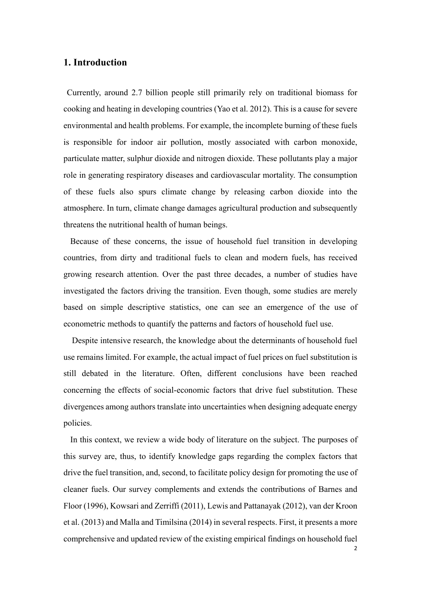## **1. Introduction**

 Currently, around 2.7 billion people still primarily rely on traditional biomass for cooking and heating in developing countries (Yao et al. 2012). This is a cause for severe environmental and health problems. For example, the incomplete burning of these fuels is responsible for indoor air pollution, mostly associated with carbon monoxide, particulate matter, sulphur dioxide and nitrogen dioxide. These pollutants play a major role in generating respiratory diseases and cardiovascular mortality. The consumption of these fuels also spurs climate change by releasing carbon dioxide into the atmosphere. In turn, climate change damages agricultural production and subsequently threatens the nutritional health of human beings.

 Because of these concerns, the issue of household fuel transition in developing countries, from dirty and traditional fuels to clean and modern fuels, has received growing research attention. Over the past three decades, a number of studies have investigated the factors driving the transition. Even though, some studies are merely based on simple descriptive statistics, one can see an emergence of the use of econometric methods to quantify the patterns and factors of household fuel use.

Despite intensive research, the knowledge about the determinants of household fuel use remains limited. For example, the actual impact of fuel prices on fuel substitution is still debated in the literature. Often, different conclusions have been reached concerning the effects of social-economic factors that drive fuel substitution. These divergences among authors translate into uncertainties when designing adequate energy policies.

 In this context, we review a wide body of literature on the subject. The purposes of this survey are, thus, to identify knowledge gaps regarding the complex factors that drive the fuel transition, and, second, to facilitate policy design for promoting the use of cleaner fuels. Our survey complements and extends the contributions of Barnes and Floor (1996), Kowsari and Zerriffi (2011), Lewis and Pattanayak (2012), van der Kroon et al. (2013) and Malla and Timilsina (2014) in several respects. First, it presents a more comprehensive and updated review of the existing empirical findings on household fuel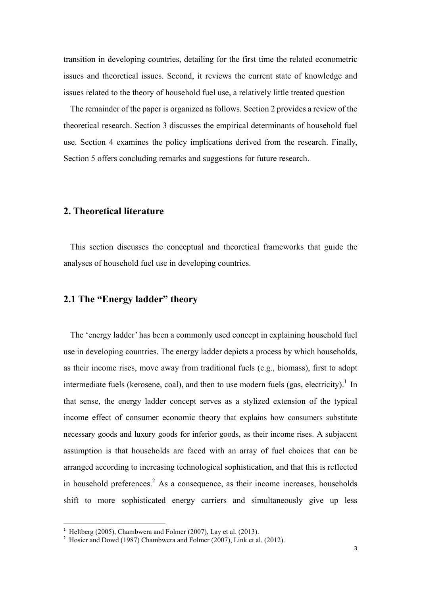transition in developing countries, detailing for the first time the related econometric issues and theoretical issues. Second, it reviews the current state of knowledge and issues related to the theory of household fuel use, a relatively little treated question

 The remainder of the paper is organized as follows. Section 2 provides a review of the theoretical research. Section 3 discusses the empirical determinants of household fuel use. Section 4 examines the policy implications derived from the research. Finally, Section 5 offers concluding remarks and suggestions for future research.

## **2. Theoretical literature**

 This section discusses the conceptual and theoretical frameworks that guide the analyses of household fuel use in developing countries.

## **2.1 The "Energy ladder" theory**

 The 'energy ladder' has been a commonly used concept in explaining household fuel use in developing countries. The energy ladder depicts a process by which households, as their income rises, move away from traditional fuels (e.g., biomass), first to adopt intermediate fuels (kerosene, coal), and then to use modern fuels (gas, electricity).<sup>1</sup> In that sense, the energy ladder concept serves as a stylized extension of the typical income effect of consumer economic theory that explains how consumers substitute necessary goods and luxury goods for inferior goods, as their income rises. A subjacent assumption is that households are faced with an array of fuel choices that can be arranged according to increasing technological sophistication, and that this is reflected in household preferences.<sup>2</sup> As a consequence, as their income increases, households shift to more sophisticated energy carriers and simultaneously give up less

 $1$  Heltberg (2005), Chambwera and Folmer (2007), Lay et al. (2013).

<sup>&</sup>lt;sup>2</sup> Hosier and Dowd (1987) Chambwera and Folmer (2007), Link et al. (2012).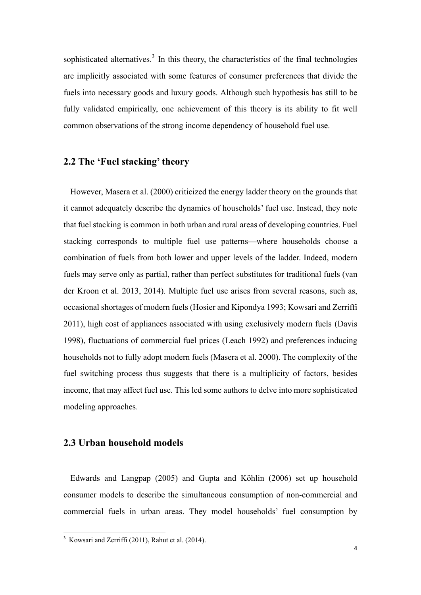sophisticated alternatives.<sup>3</sup> In this theory, the characteristics of the final technologies are implicitly associated with some features of consumer preferences that divide the fuels into necessary goods and luxury goods. Although such hypothesis has still to be fully validated empirically, one achievement of this theory is its ability to fit well common observations of the strong income dependency of household fuel use.

## **2.2 The 'Fuel stacking' theory**

 However, Masera et al. (2000) criticized the energy ladder theory on the grounds that it cannot adequately describe the dynamics of households' fuel use. Instead, they note that fuel stacking is common in both urban and rural areas of developing countries. Fuel stacking corresponds to multiple fuel use patterns—where households choose a combination of fuels from both lower and upper levels of the ladder. Indeed, modern fuels may serve only as partial, rather than perfect substitutes for traditional fuels (van der Kroon et al. 2013, 2014). Multiple fuel use arises from several reasons, such as, occasional shortages of modern fuels (Hosier and Kipondya 1993; Kowsari and Zerriffi 2011), high cost of appliances associated with using exclusively modern fuels (Davis 1998), fluctuations of commercial fuel prices (Leach 1992) and preferences inducing households not to fully adopt modern fuels (Masera et al. 2000). The complexity of the fuel switching process thus suggests that there is a multiplicity of factors, besides income, that may affect fuel use. This led some authors to delve into more sophisticated modeling approaches.

#### **2.3 Urban household models**

 Edwards and Langpap (2005) and Gupta and Köhlin (2006) set up household consumer models to describe the simultaneous consumption of non-commercial and commercial fuels in urban areas. They model households' fuel consumption by

<sup>&</sup>lt;sup>3</sup> Kowsari and Zerriffi (2011), Rahut et al. (2014).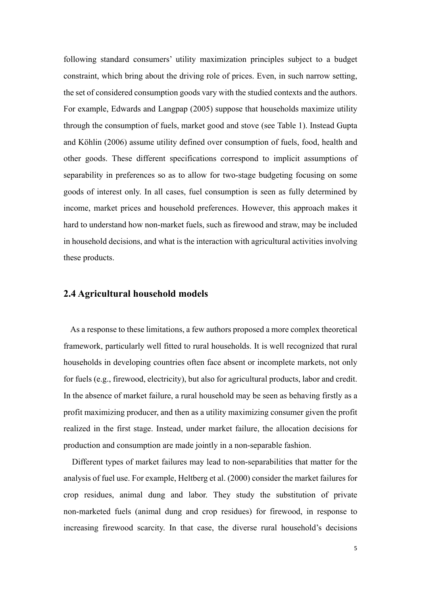following standard consumers' utility maximization principles subject to a budget constraint, which bring about the driving role of prices. Even, in such narrow setting, the set of considered consumption goods vary with the studied contexts and the authors. For example, Edwards and Langpap (2005) suppose that households maximize utility through the consumption of fuels, market good and stove (see Table 1). Instead Gupta and Köhlin (2006) assume utility defined over consumption of fuels, food, health and other goods. These different specifications correspond to implicit assumptions of separability in preferences so as to allow for two-stage budgeting focusing on some goods of interest only. In all cases, fuel consumption is seen as fully determined by income, market prices and household preferences. However, this approach makes it hard to understand how non-market fuels, such as firewood and straw, may be included in household decisions, and what is the interaction with agricultural activities involving these products.

#### **2.4 Agricultural household models**

 As a response to these limitations, a few authors proposed a more complex theoretical framework, particularly well fitted to rural households. It is well recognized that rural households in developing countries often face absent or incomplete markets, not only for fuels (e.g., firewood, electricity), but also for agricultural products, labor and credit. In the absence of market failure, a rural household may be seen as behaving firstly as a profit maximizing producer, and then as a utility maximizing consumer given the profit realized in the first stage. Instead, under market failure, the allocation decisions for production and consumption are made jointly in a non-separable fashion.

Different types of market failures may lead to non-separabilities that matter for the analysis of fuel use. For example, Heltberg et al. (2000) consider the market failures for crop residues, animal dung and labor. They study the substitution of private non-marketed fuels (animal dung and crop residues) for firewood, in response to increasing firewood scarcity. In that case, the diverse rural household's decisions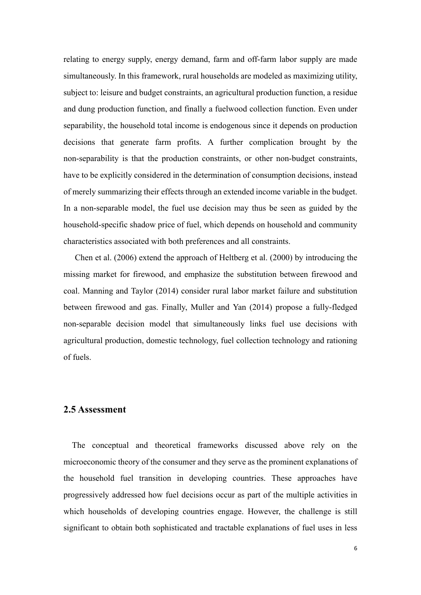relating to energy supply, energy demand, farm and off-farm labor supply are made simultaneously. In this framework, rural households are modeled as maximizing utility, subject to: leisure and budget constraints, an agricultural production function, a residue and dung production function, and finally a fuelwood collection function. Even under separability, the household total income is endogenous since it depends on production decisions that generate farm profits. A further complication brought by the non-separability is that the production constraints, or other non-budget constraints, have to be explicitly considered in the determination of consumption decisions, instead of merely summarizing their effects through an extended income variable in the budget. In a non-separable model, the fuel use decision may thus be seen as guided by the household-specific shadow price of fuel, which depends on household and community characteristics associated with both preferences and all constraints.

Chen et al. (2006) extend the approach of Heltberg et al. (2000) by introducing the missing market for firewood, and emphasize the substitution between firewood and coal. Manning and Taylor (2014) consider rural labor market failure and substitution between firewood and gas. Finally, Muller and Yan (2014) propose a fully-fledged non-separable decision model that simultaneously links fuel use decisions with agricultural production, domestic technology, fuel collection technology and rationing of fuels.

## **2.5 Assessment**

The conceptual and theoretical frameworks discussed above rely on the microeconomic theory of the consumer and they serve as the prominent explanations of the household fuel transition in developing countries. These approaches have progressively addressed how fuel decisions occur as part of the multiple activities in which households of developing countries engage. However, the challenge is still significant to obtain both sophisticated and tractable explanations of fuel uses in less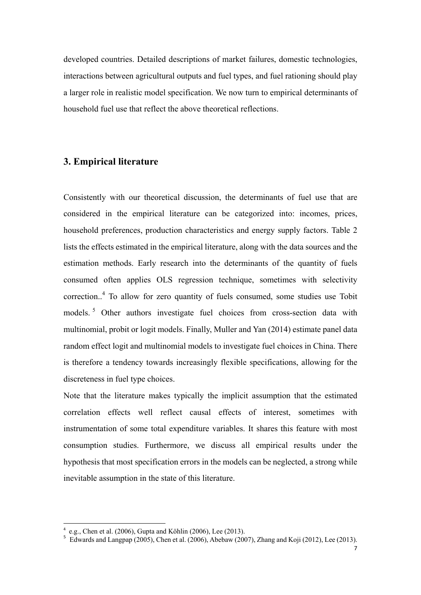developed countries. Detailed descriptions of market failures, domestic technologies, interactions between agricultural outputs and fuel types, and fuel rationing should play a larger role in realistic model specification. We now turn to empirical determinants of household fuel use that reflect the above theoretical reflections.

## **3. Empirical literature**

Consistently with our theoretical discussion, the determinants of fuel use that are considered in the empirical literature can be categorized into: incomes, prices, household preferences, production characteristics and energy supply factors. Table 2 lists the effects estimated in the empirical literature, along with the data sources and the estimation methods. Early research into the determinants of the quantity of fuels consumed often applies OLS regression technique, sometimes with selectivity correction..<sup>4</sup> To allow for zero quantity of fuels consumed, some studies use Tobit models.<sup>5</sup> Other authors investigate fuel choices from cross-section data with multinomial, probit or logit models. Finally, Muller and Yan (2014) estimate panel data random effect logit and multinomial models to investigate fuel choices in China. There is therefore a tendency towards increasingly flexible specifications, allowing for the discreteness in fuel type choices.

Note that the literature makes typically the implicit assumption that the estimated correlation effects well reflect causal effects of interest, sometimes with instrumentation of some total expenditure variables. It shares this feature with most consumption studies. Furthermore, we discuss all empirical results under the hypothesis that most specification errors in the models can be neglected, a strong while inevitable assumption in the state of this literature.

 $4$  e.g., Chen et al. (2006), Gupta and Köhlin (2006), Lee (2013).

 $5$  Edwards and Langpap (2005), Chen et al. (2006), Abebaw (2007), Zhang and Koji (2012), Lee (2013).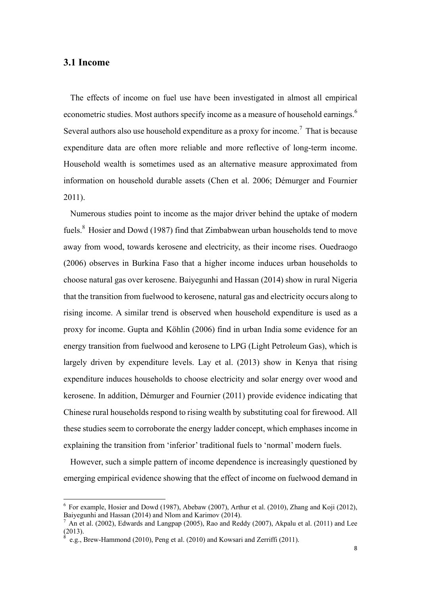#### **3.1 Income**

 The effects of income on fuel use have been investigated in almost all empirical econometric studies. Most authors specify income as a measure of household earnings.<sup>6</sup> Several authors also use household expenditure as a proxy for income.<sup>7</sup> That is because expenditure data are often more reliable and more reflective of long-term income. Household wealth is sometimes used as an alternative measure approximated from information on household durable assets (Chen et al. 2006; Démurger and Fournier 2011).

 Numerous studies point to income as the major driver behind the uptake of modern fuels.<sup>8</sup> Hosier and Dowd (1987) find that Zimbabwean urban households tend to move away from wood, towards kerosene and electricity, as their income rises. Ouedraogo (2006) observes in Burkina Faso that a higher income induces urban households to choose natural gas over kerosene. Baiyegunhi and Hassan (2014) show in rural Nigeria that the transition from fuelwood to kerosene, natural gas and electricity occurs along to rising income. A similar trend is observed when household expenditure is used as a proxy for income. Gupta and Köhlin (2006) find in urban India some evidence for an energy transition from fuelwood and kerosene to LPG (Light Petroleum Gas), which is largely driven by expenditure levels. Lay et al. (2013) show in Kenya that rising expenditure induces households to choose electricity and solar energy over wood and kerosene. In addition, Démurger and Fournier (2011) provide evidence indicating that Chinese rural households respond to rising wealth by substituting coal for firewood. All these studies seem to corroborate the energy ladder concept, which emphases income in explaining the transition from 'inferior' traditional fuels to 'normal' modern fuels.

 However, such a simple pattern of income dependence is increasingly questioned by emerging empirical evidence showing that the effect of income on fuelwood demand in

 $6$  For example, Hosier and Dowd (1987), Abebaw (2007), Arthur et al. (2010), Zhang and Koji (2012), Baiyegunhi and Hassan (2014) and Nlom and Karimov (2014).

<sup>7</sup> An et al. (2002), Edwards and Langpap (2005), Rao and Reddy (2007), Akpalu et al. (2011) and Lee (2013).

<sup>8</sup> e.g., Brew-Hammond (2010), Peng et al. (2010) and Kowsari and Zerriffi (2011).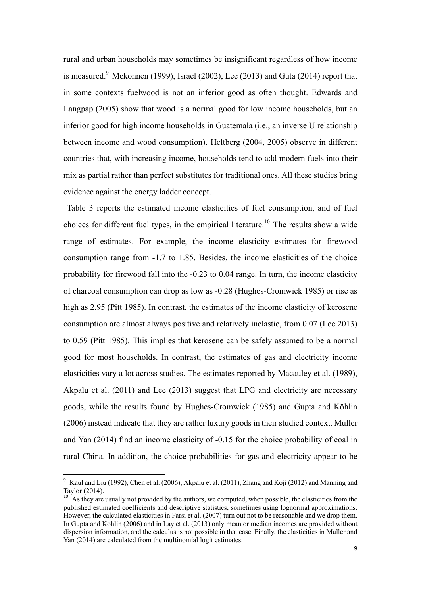rural and urban households may sometimes be insignificant regardless of how income is measured. $9$  Mekonnen (1999), Israel (2002), Lee (2013) and Guta (2014) report that in some contexts fuelwood is not an inferior good as often thought. Edwards and Langpap (2005) show that wood is a normal good for low income households, but an inferior good for high income households in Guatemala (i.e., an inverse U relationship between income and wood consumption). Heltberg (2004, 2005) observe in different countries that, with increasing income, households tend to add modern fuels into their mix as partial rather than perfect substitutes for traditional ones. All these studies bring evidence against the energy ladder concept.

 Table 3 reports the estimated income elasticities of fuel consumption, and of fuel choices for different fuel types, in the empirical literature.<sup>10</sup> The results show a wide range of estimates. For example, the income elasticity estimates for firewood consumption range from -1.7 to 1.85. Besides, the income elasticities of the choice probability for firewood fall into the -0.23 to 0.04 range. In turn, the income elasticity of charcoal consumption can drop as low as -0.28 (Hughes-Cromwick 1985) or rise as high as 2.95 (Pitt 1985). In contrast, the estimates of the income elasticity of kerosene consumption are almost always positive and relatively inelastic, from 0.07 (Lee 2013) to 0.59 (Pitt 1985). This implies that kerosene can be safely assumed to be a normal good for most households. In contrast, the estimates of gas and electricity income elasticities vary a lot across studies. The estimates reported by Macauley et al. (1989), Akpalu et al. (2011) and Lee (2013) suggest that LPG and electricity are necessary goods, while the results found by Hughes-Cromwick (1985) and Gupta and Köhlin (2006) instead indicate that they are rather luxury goods in their studied context. Muller and Yan (2014) find an income elasticity of -0.15 for the choice probability of coal in rural China. In addition, the choice probabilities for gas and electricity appear to be

<sup>9</sup> Kaul and Liu (1992), Chen et al. (2006), Akpalu et al. (2011), Zhang and Koji (2012) and Manning and Taylor (2014).

 $10^{10}$  As they are usually not provided by the authors, we computed, when possible, the elasticities from the published estimated coefficients and descriptive statistics, sometimes using lognormal approximations. However, the calculated elasticities in Farsi et al. (2007) turn out not to be reasonable and we drop them. In Gupta and Kohlin (2006) and in Lay et al. (2013) only mean or median incomes are provided without dispersion information, and the calculus is not possible in that case. Finally, the elasticities in Muller and Yan (2014) are calculated from the multinomial logit estimates.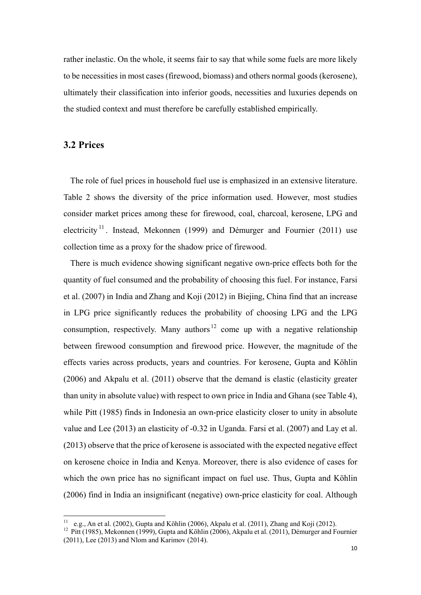rather inelastic. On the whole, it seems fair to say that while some fuels are more likely to be necessities in most cases (firewood, biomass) and others normal goods (kerosene), ultimately their classification into inferior goods, necessities and luxuries depends on the studied context and must therefore be carefully established empirically.

## **3.2 Prices**

 The role of fuel prices in household fuel use is emphasized in an extensive literature. Table 2 shows the diversity of the price information used. However, most studies consider market prices among these for firewood, coal, charcoal, kerosene, LPG and electricity<sup>11</sup>. Instead, Mekonnen (1999) and Démurger and Fournier (2011) use collection time as a proxy for the shadow price of firewood.

 There is much evidence showing significant negative own-price effects both for the quantity of fuel consumed and the probability of choosing this fuel. For instance, Farsi et al. (2007) in India and Zhang and Koji (2012) in Biejing, China find that an increase in LPG price significantly reduces the probability of choosing LPG and the LPG consumption, respectively. Many authors<sup>12</sup> come up with a negative relationship between firewood consumption and firewood price. However, the magnitude of the effects varies across products, years and countries. For kerosene, Gupta and Köhlin (2006) and Akpalu et al. (2011) observe that the demand is elastic (elasticity greater than unity in absolute value) with respect to own price in India and Ghana (see Table 4), while Pitt (1985) finds in Indonesia an own-price elasticity closer to unity in absolute value and Lee (2013) an elasticity of -0.32 in Uganda. Farsi et al. (2007) and Lay et al. (2013) observe that the price of kerosene is associated with the expected negative effect on kerosene choice in India and Kenya. Moreover, there is also evidence of cases for which the own price has no significant impact on fuel use. Thus, Gupta and Köhlin (2006) find in India an insignificant (negative) own-price elasticity for coal. Although

<sup>&</sup>lt;sup>11</sup> e.g., An et al. (2002), Gupta and Köhlin (2006), Akpalu et al. (2011), Zhang and Koji (2012).<br><sup>12</sup> Pitt (1985), Mekonnen (1999), Gupta and Köhlin (2006), Akpalu et al. (2011), Démurger and Fournier (2011), Lee (2013) and Nlom and Karimov (2014).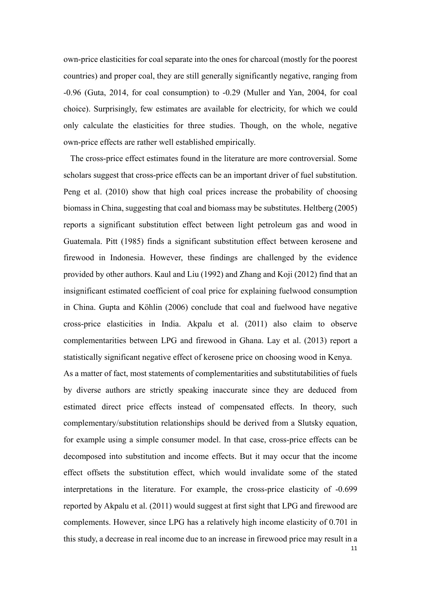own-price elasticities for coal separate into the ones for charcoal (mostly for the poorest countries) and proper coal, they are still generally significantly negative, ranging from -0.96 (Guta, 2014, for coal consumption) to -0.29 (Muller and Yan, 2004, for coal choice). Surprisingly, few estimates are available for electricity, for which we could only calculate the elasticities for three studies. Though, on the whole, negative own-price effects are rather well established empirically.

 The cross-price effect estimates found in the literature are more controversial. Some scholars suggest that cross-price effects can be an important driver of fuel substitution. Peng et al. (2010) show that high coal prices increase the probability of choosing biomass in China, suggesting that coal and biomass may be substitutes. Heltberg (2005) reports a significant substitution effect between light petroleum gas and wood in Guatemala. Pitt (1985) finds a significant substitution effect between kerosene and firewood in Indonesia. However, these findings are challenged by the evidence provided by other authors. Kaul and Liu (1992) and Zhang and Koji (2012) find that an insignificant estimated coefficient of coal price for explaining fuelwood consumption in China. Gupta and Köhlin (2006) conclude that coal and fuelwood have negative cross-price elasticities in India. Akpalu et al. (2011) also claim to observe complementarities between LPG and firewood in Ghana. Lay et al. (2013) report a statistically significant negative effect of kerosene price on choosing wood in Kenya. As a matter of fact, most statements of complementarities and substitutabilities of fuels by diverse authors are strictly speaking inaccurate since they are deduced from estimated direct price effects instead of compensated effects. In theory, such complementary/substitution relationships should be derived from a Slutsky equation, for example using a simple consumer model. In that case, cross-price effects can be decomposed into substitution and income effects. But it may occur that the income effect offsets the substitution effect, which would invalidate some of the stated interpretations in the literature. For example, the cross-price elasticity of -0.699 reported by Akpalu et al. (2011) would suggest at first sight that LPG and firewood are complements. However, since LPG has a relatively high income elasticity of 0.701 in this study, a decrease in real income due to an increase in firewood price may result in a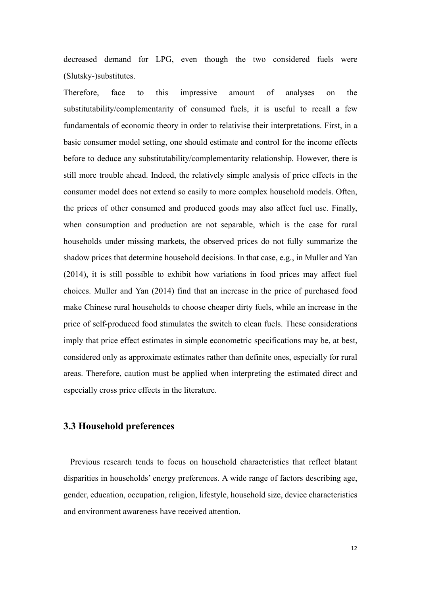decreased demand for LPG, even though the two considered fuels were (Slutsky-)substitutes.

Therefore, face to this impressive amount of analyses on the substitutability/complementarity of consumed fuels, it is useful to recall a few fundamentals of economic theory in order to relativise their interpretations. First, in a basic consumer model setting, one should estimate and control for the income effects before to deduce any substitutability/complementarity relationship. However, there is still more trouble ahead. Indeed, the relatively simple analysis of price effects in the consumer model does not extend so easily to more complex household models. Often, the prices of other consumed and produced goods may also affect fuel use. Finally, when consumption and production are not separable, which is the case for rural households under missing markets, the observed prices do not fully summarize the shadow prices that determine household decisions. In that case, e.g., in Muller and Yan (2014), it is still possible to exhibit how variations in food prices may affect fuel choices. Muller and Yan (2014) find that an increase in the price of purchased food make Chinese rural households to choose cheaper dirty fuels, while an increase in the price of self-produced food stimulates the switch to clean fuels. These considerations imply that price effect estimates in simple econometric specifications may be, at best, considered only as approximate estimates rather than definite ones, especially for rural areas. Therefore, caution must be applied when interpreting the estimated direct and especially cross price effects in the literature.

## **3.3 Household preferences**

 Previous research tends to focus on household characteristics that reflect blatant disparities in households' energy preferences. A wide range of factors describing age, gender, education, occupation, religion, lifestyle, household size, device characteristics and environment awareness have received attention.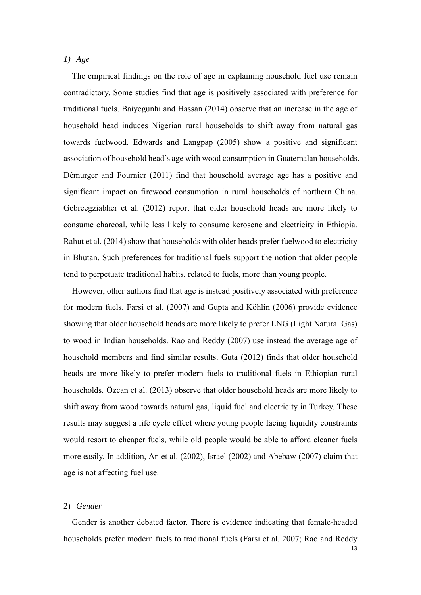#### *1) Age*

The empirical findings on the role of age in explaining household fuel use remain contradictory. Some studies find that age is positively associated with preference for traditional fuels. Baiyegunhi and Hassan (2014) observe that an increase in the age of household head induces Nigerian rural households to shift away from natural gas towards fuelwood. Edwards and Langpap (2005) show a positive and significant association of household head's age with wood consumption in Guatemalan households. Démurger and Fournier (2011) find that household average age has a positive and significant impact on firewood consumption in rural households of northern China. Gebreegziabher et al. (2012) report that older household heads are more likely to consume charcoal, while less likely to consume kerosene and electricity in Ethiopia. Rahut et al. (2014) show that households with older heads prefer fuelwood to electricity in Bhutan. Such preferences for traditional fuels support the notion that older people tend to perpetuate traditional habits, related to fuels, more than young people.

However, other authors find that age is instead positively associated with preference for modern fuels. Farsi et al. (2007) and Gupta and Köhlin (2006) provide evidence showing that older household heads are more likely to prefer LNG (Light Natural Gas) to wood in Indian households. Rao and Reddy (2007) use instead the average age of household members and find similar results. Guta (2012) finds that older household heads are more likely to prefer modern fuels to traditional fuels in Ethiopian rural households. Özcan et al. (2013) observe that older household heads are more likely to shift away from wood towards natural gas, liquid fuel and electricity in Turkey. These results may suggest a life cycle effect where young people facing liquidity constraints would resort to cheaper fuels, while old people would be able to afford cleaner fuels more easily. In addition, An et al. (2002), Israel (2002) and Abebaw (2007) claim that age is not affecting fuel use.

#### 2) *Gender*

Gender is another debated factor. There is evidence indicating that female-headed households prefer modern fuels to traditional fuels (Farsi et al. 2007; Rao and Reddy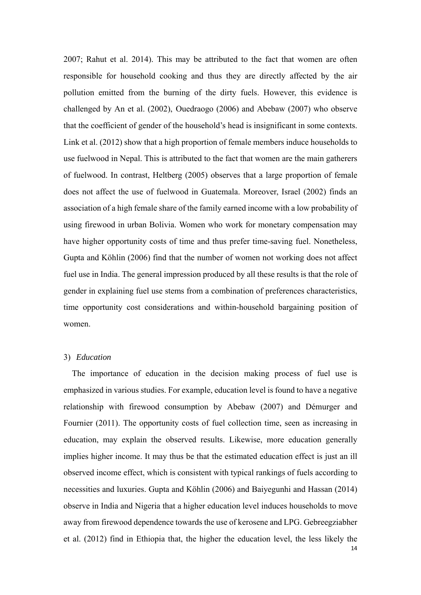2007; Rahut et al. 2014). This may be attributed to the fact that women are often responsible for household cooking and thus they are directly affected by the air pollution emitted from the burning of the dirty fuels. However, this evidence is challenged by An et al. (2002), Ouedraogo (2006) and Abebaw (2007) who observe that the coefficient of gender of the household's head is insignificant in some contexts. Link et al. (2012) show that a high proportion of female members induce households to use fuelwood in Nepal. This is attributed to the fact that women are the main gatherers of fuelwood. In contrast, Heltberg (2005) observes that a large proportion of female does not affect the use of fuelwood in Guatemala. Moreover, Israel (2002) finds an association of a high female share of the family earned income with a low probability of using firewood in urban Bolivia. Women who work for monetary compensation may have higher opportunity costs of time and thus prefer time-saving fuel. Nonetheless, Gupta and Köhlin (2006) find that the number of women not working does not affect fuel use in India. The general impression produced by all these results is that the role of gender in explaining fuel use stems from a combination of preferences characteristics, time opportunity cost considerations and within-household bargaining position of women.

#### 3) *Education*

 $14$ The importance of education in the decision making process of fuel use is emphasized in various studies. For example, education level is found to have a negative relationship with firewood consumption by Abebaw (2007) and Démurger and Fournier (2011). The opportunity costs of fuel collection time, seen as increasing in education, may explain the observed results. Likewise, more education generally implies higher income. It may thus be that the estimated education effect is just an ill observed income effect, which is consistent with typical rankings of fuels according to necessities and luxuries. Gupta and Köhlin (2006) and Baiyegunhi and Hassan (2014) observe in India and Nigeria that a higher education level induces households to move away from firewood dependence towards the use of kerosene and LPG. Gebreegziabher et al. (2012) find in Ethiopia that, the higher the education level, the less likely the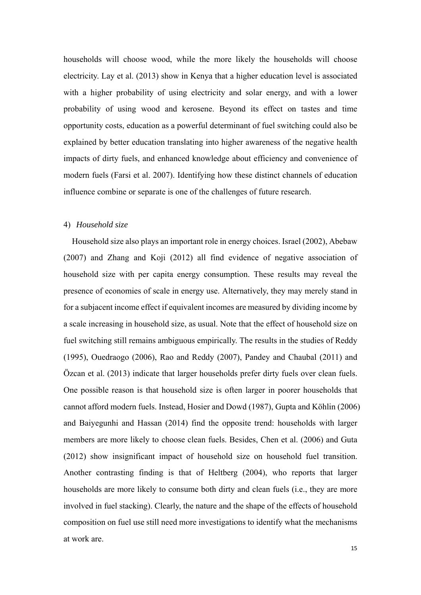households will choose wood, while the more likely the households will choose electricity. Lay et al. (2013) show in Kenya that a higher education level is associated with a higher probability of using electricity and solar energy, and with a lower probability of using wood and kerosene. Beyond its effect on tastes and time opportunity costs, education as a powerful determinant of fuel switching could also be explained by better education translating into higher awareness of the negative health impacts of dirty fuels, and enhanced knowledge about efficiency and convenience of modern fuels (Farsi et al. 2007). Identifying how these distinct channels of education influence combine or separate is one of the challenges of future research.

#### 4) *Household size*

Household size also plays an important role in energy choices. Israel (2002), Abebaw (2007) and Zhang and Koji (2012) all find evidence of negative association of household size with per capita energy consumption. These results may reveal the presence of economies of scale in energy use. Alternatively, they may merely stand in for a subjacent income effect if equivalent incomes are measured by dividing income by a scale increasing in household size, as usual. Note that the effect of household size on fuel switching still remains ambiguous empirically. The results in the studies of Reddy (1995), Ouedraogo (2006), Rao and Reddy (2007), Pandey and Chaubal (2011) and Özcan et al. (2013) indicate that larger households prefer dirty fuels over clean fuels. One possible reason is that household size is often larger in poorer households that cannot afford modern fuels. Instead, Hosier and Dowd (1987), Gupta and Köhlin (2006) and Baiyegunhi and Hassan (2014) find the opposite trend: households with larger members are more likely to choose clean fuels. Besides, Chen et al. (2006) and Guta (2012) show insignificant impact of household size on household fuel transition. Another contrasting finding is that of Heltberg (2004), who reports that larger households are more likely to consume both dirty and clean fuels (i.e., they are more involved in fuel stacking). Clearly, the nature and the shape of the effects of household composition on fuel use still need more investigations to identify what the mechanisms at work are.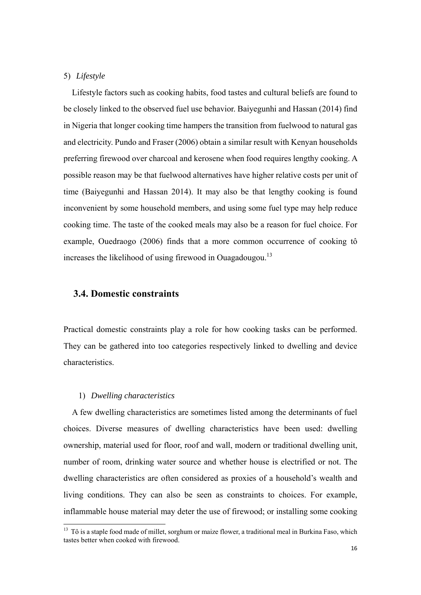#### 5) *Lifestyle*

Lifestyle factors such as cooking habits, food tastes and cultural beliefs are found to be closely linked to the observed fuel use behavior. Baiyegunhi and Hassan (2014) find in Nigeria that longer cooking time hampers the transition from fuelwood to natural gas and electricity. Pundo and Fraser (2006) obtain a similar result with Kenyan households preferring firewood over charcoal and kerosene when food requires lengthy cooking. A possible reason may be that fuelwood alternatives have higher relative costs per unit of time (Baiyegunhi and Hassan 2014). It may also be that lengthy cooking is found inconvenient by some household members, and using some fuel type may help reduce cooking time. The taste of the cooked meals may also be a reason for fuel choice. For example, Ouedraogo (2006) finds that a more common occurrence of cooking tô increases the likelihood of using firewood in Ouagadougou.<sup>13</sup>

## **3.4. Domestic constraints**

Practical domestic constraints play a role for how cooking tasks can be performed. They can be gathered into too categories respectively linked to dwelling and device characteristics.

#### 1) *Dwelling characteristics*

A few dwelling characteristics are sometimes listed among the determinants of fuel choices. Diverse measures of dwelling characteristics have been used: dwelling ownership, material used for floor, roof and wall, modern or traditional dwelling unit, number of room, drinking water source and whether house is electrified or not. The dwelling characteristics are often considered as proxies of a household's wealth and living conditions. They can also be seen as constraints to choices. For example, inflammable house material may deter the use of firewood; or installing some cooking

 $13$  Tô is a staple food made of millet, sorghum or maize flower, a traditional meal in Burkina Faso, which tastes better when cooked with firewood.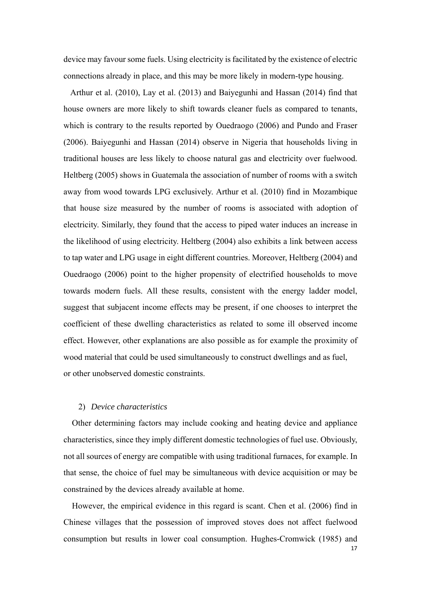device may favour some fuels. Using electricity is facilitated by the existence of electric connections already in place, and this may be more likely in modern-type housing.

 Arthur et al. (2010), Lay et al. (2013) and Baiyegunhi and Hassan (2014) find that house owners are more likely to shift towards cleaner fuels as compared to tenants, which is contrary to the results reported by Ouedraogo (2006) and Pundo and Fraser (2006). Baiyegunhi and Hassan (2014) observe in Nigeria that households living in traditional houses are less likely to choose natural gas and electricity over fuelwood. Heltberg (2005) shows in Guatemala the association of number of rooms with a switch away from wood towards LPG exclusively. Arthur et al. (2010) find in Mozambique that house size measured by the number of rooms is associated with adoption of electricity. Similarly, they found that the access to piped water induces an increase in the likelihood of using electricity. Heltberg (2004) also exhibits a link between access to tap water and LPG usage in eight different countries. Moreover, Heltberg (2004) and Ouedraogo (2006) point to the higher propensity of electrified households to move towards modern fuels. All these results, consistent with the energy ladder model, suggest that subjacent income effects may be present, if one chooses to interpret the coefficient of these dwelling characteristics as related to some ill observed income effect. However, other explanations are also possible as for example the proximity of wood material that could be used simultaneously to construct dwellings and as fuel, or other unobserved domestic constraints.

#### 2) *Device characteristics*

Other determining factors may include cooking and heating device and appliance characteristics, since they imply different domestic technologies of fuel use. Obviously, not all sources of energy are compatible with using traditional furnaces, for example. In that sense, the choice of fuel may be simultaneous with device acquisition or may be constrained by the devices already available at home.

However, the empirical evidence in this regard is scant. Chen et al. (2006) find in Chinese villages that the possession of improved stoves does not affect fuelwood consumption but results in lower coal consumption. Hughes-Cromwick (1985) and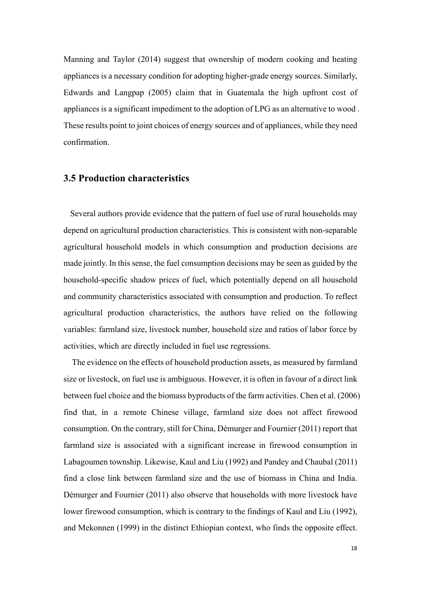Manning and Taylor (2014) suggest that ownership of modern cooking and heating appliances is a necessary condition for adopting higher-grade energy sources. Similarly, Edwards and Langpap (2005) claim that in Guatemala the high upfront cost of appliances is a significant impediment to the adoption of LPG as an alternative to wood . These results point to joint choices of energy sources and of appliances, while they need confirmation.

## **3.5 Production characteristics**

 Several authors provide evidence that the pattern of fuel use of rural households may depend on agricultural production characteristics. This is consistent with non-separable agricultural household models in which consumption and production decisions are made jointly. In this sense, the fuel consumption decisions may be seen as guided by the household-specific shadow prices of fuel, which potentially depend on all household and community characteristics associated with consumption and production. To reflect agricultural production characteristics, the authors have relied on the following variables: farmland size, livestock number, household size and ratios of labor force by activities, which are directly included in fuel use regressions.

The evidence on the effects of household production assets, as measured by farmland size or livestock, on fuel use is ambiguous. However, it is often in favour of a direct link between fuel choice and the biomass byproducts of the farm activities. Chen et al. (2006) find that, in a remote Chinese village, farmland size does not affect firewood consumption. On the contrary, still for China, Démurger and Fournier (2011) report that farmland size is associated with a significant increase in firewood consumption in Labagoumen township. Likewise, Kaul and Liu (1992) and Pandey and Chaubal (2011) find a close link between farmland size and the use of biomass in China and India. Démurger and Fournier (2011) also observe that households with more livestock have lower firewood consumption, which is contrary to the findings of Kaul and Liu (1992), and Mekonnen (1999) in the distinct Ethiopian context, who finds the opposite effect.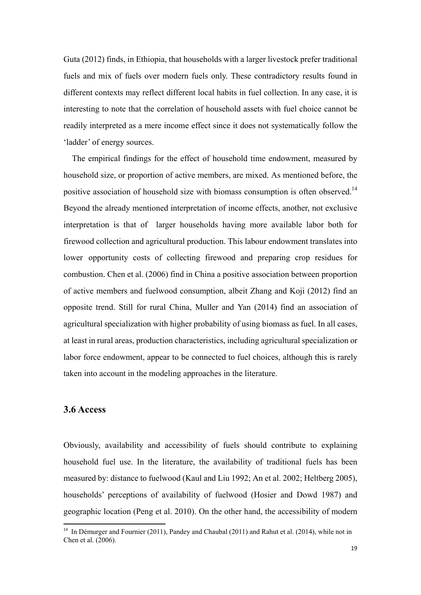Guta (2012) finds, in Ethiopia, that households with a larger livestock prefer traditional fuels and mix of fuels over modern fuels only. These contradictory results found in different contexts may reflect different local habits in fuel collection. In any case, it is interesting to note that the correlation of household assets with fuel choice cannot be readily interpreted as a mere income effect since it does not systematically follow the 'ladder' of energy sources.

The empirical findings for the effect of household time endowment, measured by household size, or proportion of active members, are mixed. As mentioned before, the positive association of household size with biomass consumption is often observed.<sup>14</sup> Beyond the already mentioned interpretation of income effects, another, not exclusive interpretation is that of larger households having more available labor both for firewood collection and agricultural production. This labour endowment translates into lower opportunity costs of collecting firewood and preparing crop residues for combustion. Chen et al. (2006) find in China a positive association between proportion of active members and fuelwood consumption, albeit Zhang and Koji (2012) find an opposite trend. Still for rural China, Muller and Yan (2014) find an association of agricultural specialization with higher probability of using biomass as fuel. In all cases, at least in rural areas, production characteristics, including agricultural specialization or labor force endowment, appear to be connected to fuel choices, although this is rarely taken into account in the modeling approaches in the literature.

## **3.6 Access**

Obviously, availability and accessibility of fuels should contribute to explaining household fuel use. In the literature, the availability of traditional fuels has been measured by: distance to fuelwood (Kaul and Liu 1992; An et al. 2002; Heltberg 2005), households' perceptions of availability of fuelwood (Hosier and Dowd 1987) and geographic location (Peng et al. 2010). On the other hand, the accessibility of modern

<sup>&</sup>lt;sup>14</sup> In Démurger and Fournier (2011), Pandey and Chaubal (2011) and Rahut et al. (2014), while not in Chen et al. (2006).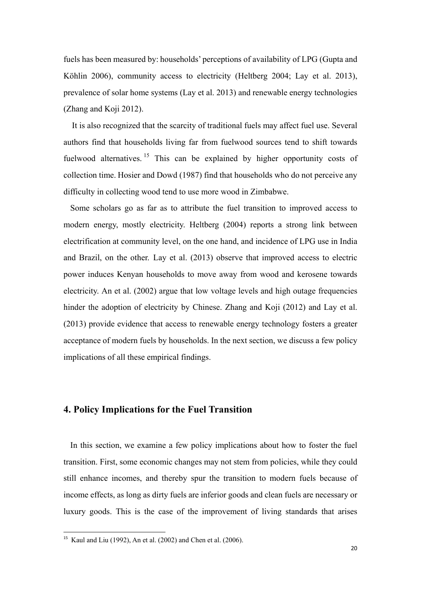fuels has been measured by: households' perceptions of availability of LPG (Gupta and Köhlin 2006), community access to electricity (Heltberg 2004; Lay et al. 2013), prevalence of solar home systems (Lay et al. 2013) and renewable energy technologies (Zhang and Koji 2012).

It is also recognized that the scarcity of traditional fuels may affect fuel use. Several authors find that households living far from fuelwood sources tend to shift towards fuelwood alternatives. <sup>15</sup> This can be explained by higher opportunity costs of collection time. Hosier and Dowd (1987) find that households who do not perceive any difficulty in collecting wood tend to use more wood in Zimbabwe.

 Some scholars go as far as to attribute the fuel transition to improved access to modern energy, mostly electricity. Heltberg (2004) reports a strong link between electrification at community level, on the one hand, and incidence of LPG use in India and Brazil, on the other. Lay et al. (2013) observe that improved access to electric power induces Kenyan households to move away from wood and kerosene towards electricity. An et al. (2002) argue that low voltage levels and high outage frequencies hinder the adoption of electricity by Chinese. Zhang and Koji (2012) and Lay et al. (2013) provide evidence that access to renewable energy technology fosters a greater acceptance of modern fuels by households. In the next section, we discuss a few policy implications of all these empirical findings.

## **4. Policy Implications for the Fuel Transition**

 In this section, we examine a few policy implications about how to foster the fuel transition. First, some economic changes may not stem from policies, while they could still enhance incomes, and thereby spur the transition to modern fuels because of income effects, as long as dirty fuels are inferior goods and clean fuels are necessary or luxury goods. This is the case of the improvement of living standards that arises

<sup>&</sup>lt;sup>15</sup> Kaul and Liu (1992), An et al. (2002) and Chen et al. (2006).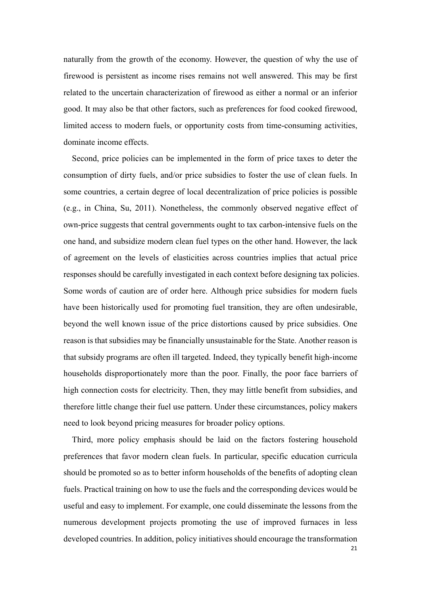naturally from the growth of the economy. However, the question of why the use of firewood is persistent as income rises remains not well answered. This may be first related to the uncertain characterization of firewood as either a normal or an inferior good. It may also be that other factors, such as preferences for food cooked firewood, limited access to modern fuels, or opportunity costs from time-consuming activities, dominate income effects.

Second, price policies can be implemented in the form of price taxes to deter the consumption of dirty fuels, and/or price subsidies to foster the use of clean fuels. In some countries, a certain degree of local decentralization of price policies is possible (e.g., in China, Su, 2011). Nonetheless, the commonly observed negative effect of own-price suggests that central governments ought to tax carbon-intensive fuels on the one hand, and subsidize modern clean fuel types on the other hand. However, the lack of agreement on the levels of elasticities across countries implies that actual price responses should be carefully investigated in each context before designing tax policies. Some words of caution are of order here. Although price subsidies for modern fuels have been historically used for promoting fuel transition, they are often undesirable, beyond the well known issue of the price distortions caused by price subsidies. One reason is that subsidies may be financially unsustainable for the State. Another reason is that subsidy programs are often ill targeted. Indeed, they typically benefit high-income households disproportionately more than the poor. Finally, the poor face barriers of high connection costs for electricity. Then, they may little benefit from subsidies, and therefore little change their fuel use pattern. Under these circumstances, policy makers need to look beyond pricing measures for broader policy options.

Third, more policy emphasis should be laid on the factors fostering household preferences that favor modern clean fuels. In particular, specific education curricula should be promoted so as to better inform households of the benefits of adopting clean fuels. Practical training on how to use the fuels and the corresponding devices would be useful and easy to implement. For example, one could disseminate the lessons from the numerous development projects promoting the use of improved furnaces in less developed countries. In addition, policy initiatives should encourage the transformation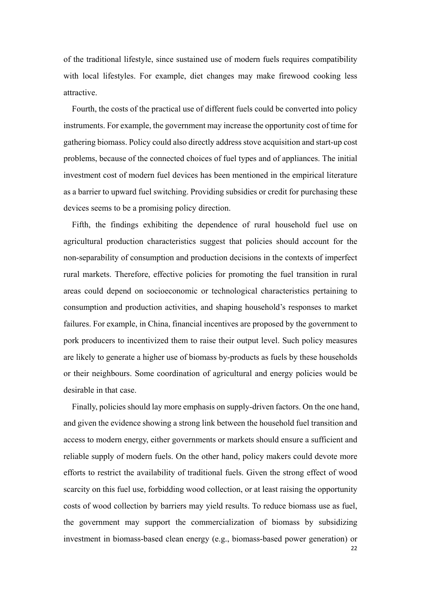of the traditional lifestyle, since sustained use of modern fuels requires compatibility with local lifestyles. For example, diet changes may make firewood cooking less attractive.

Fourth, the costs of the practical use of different fuels could be converted into policy instruments. For example, the government may increase the opportunity cost of time for gathering biomass. Policy could also directly address stove acquisition and start-up cost problems, because of the connected choices of fuel types and of appliances. The initial investment cost of modern fuel devices has been mentioned in the empirical literature as a barrier to upward fuel switching. Providing subsidies or credit for purchasing these devices seems to be a promising policy direction.

Fifth, the findings exhibiting the dependence of rural household fuel use on agricultural production characteristics suggest that policies should account for the non-separability of consumption and production decisions in the contexts of imperfect rural markets. Therefore, effective policies for promoting the fuel transition in rural areas could depend on socioeconomic or technological characteristics pertaining to consumption and production activities, and shaping household's responses to market failures. For example, in China, financial incentives are proposed by the government to pork producers to incentivized them to raise their output level. Such policy measures are likely to generate a higher use of biomass by-products as fuels by these households or their neighbours. Some coordination of agricultural and energy policies would be desirable in that case.

Finally, policies should lay more emphasis on supply-driven factors. On the one hand, and given the evidence showing a strong link between the household fuel transition and access to modern energy, either governments or markets should ensure a sufficient and reliable supply of modern fuels. On the other hand, policy makers could devote more efforts to restrict the availability of traditional fuels. Given the strong effect of wood scarcity on this fuel use, forbidding wood collection, or at least raising the opportunity costs of wood collection by barriers may yield results. To reduce biomass use as fuel, the government may support the commercialization of biomass by subsidizing investment in biomass-based clean energy (e.g., biomass-based power generation) or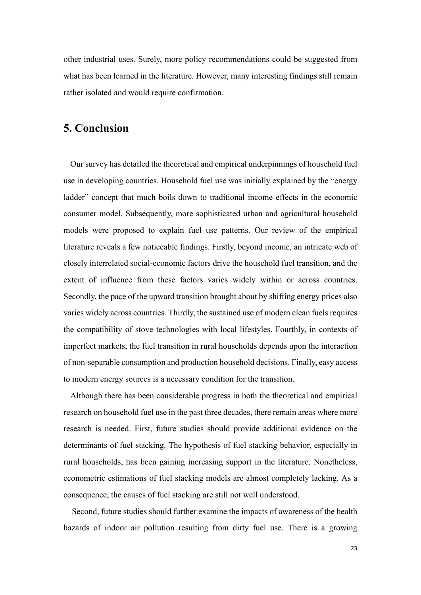other industrial uses. Surely, more policy recommendations could be suggested from what has been learned in the literature. However, many interesting findings still remain rather isolated and would require confirmation.

## **5. Conclusion**

 Our survey has detailed the theoretical and empirical underpinnings of household fuel use in developing countries. Household fuel use was initially explained by the "energy ladder" concept that much boils down to traditional income effects in the economic consumer model. Subsequently, more sophisticated urban and agricultural household models were proposed to explain fuel use patterns. Our review of the empirical literature reveals a few noticeable findings. Firstly, beyond income, an intricate web of closely interrelated social-economic factors drive the household fuel transition, and the extent of influence from these factors varies widely within or across countries. Secondly, the pace of the upward transition brought about by shifting energy prices also varies widely across countries. Thirdly, the sustained use of modern clean fuels requires the compatibility of stove technologies with local lifestyles. Fourthly, in contexts of imperfect markets, the fuel transition in rural households depends upon the interaction of non-separable consumption and production household decisions. Finally, easy access to modern energy sources is a necessary condition for the transition.

 Although there has been considerable progress in both the theoretical and empirical research on household fuel use in the past three decades, there remain areas where more research is needed. First, future studies should provide additional evidence on the determinants of fuel stacking. The hypothesis of fuel stacking behavior, especially in rural households, has been gaining increasing support in the literature. Nonetheless, econometric estimations of fuel stacking models are almost completely lacking. As a consequence, the causes of fuel stacking are still not well understood.

Second, future studies should further examine the impacts of awareness of the health hazards of indoor air pollution resulting from dirty fuel use. There is a growing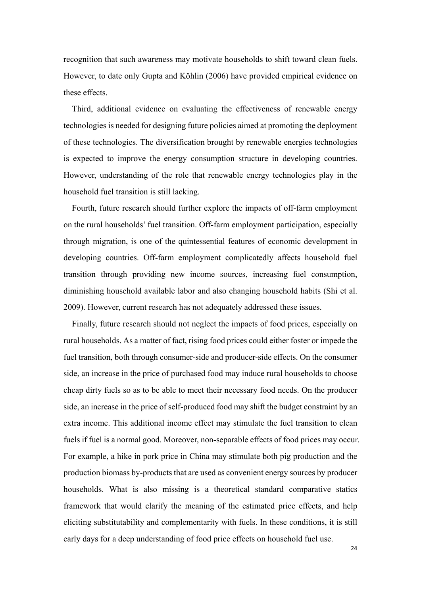recognition that such awareness may motivate households to shift toward clean fuels. However, to date only Gupta and Köhlin (2006) have provided empirical evidence on these effects.

Third, additional evidence on evaluating the effectiveness of renewable energy technologies is needed for designing future policies aimed at promoting the deployment of these technologies. The diversification brought by renewable energies technologies is expected to improve the energy consumption structure in developing countries. However, understanding of the role that renewable energy technologies play in the household fuel transition is still lacking.

Fourth, future research should further explore the impacts of off-farm employment on the rural households' fuel transition. Off-farm employment participation, especially through migration, is one of the quintessential features of economic development in developing countries. Off-farm employment complicatedly affects household fuel transition through providing new income sources, increasing fuel consumption, diminishing household available labor and also changing household habits (Shi et al. 2009). However, current research has not adequately addressed these issues.

Finally, future research should not neglect the impacts of food prices, especially on rural households. As a matter of fact, rising food prices could either foster or impede the fuel transition, both through consumer-side and producer-side effects. On the consumer side, an increase in the price of purchased food may induce rural households to choose cheap dirty fuels so as to be able to meet their necessary food needs. On the producer side, an increase in the price of self-produced food may shift the budget constraint by an extra income. This additional income effect may stimulate the fuel transition to clean fuels if fuel is a normal good. Moreover, non-separable effects of food prices may occur. For example, a hike in pork price in China may stimulate both pig production and the production biomass by-products that are used as convenient energy sources by producer households. What is also missing is a theoretical standard comparative statics framework that would clarify the meaning of the estimated price effects, and help eliciting substitutability and complementarity with fuels. In these conditions, it is still early days for a deep understanding of food price effects on household fuel use.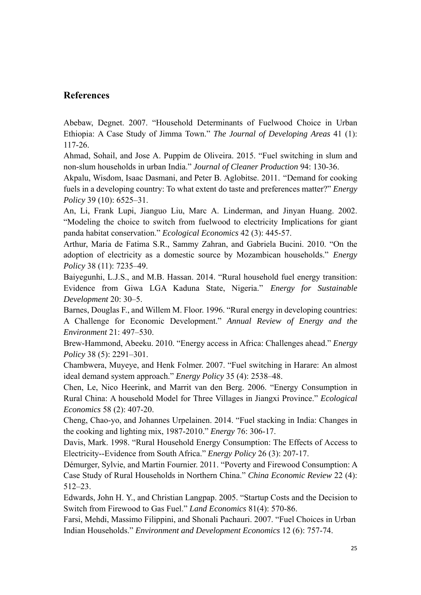## **References**

Abebaw, Degnet. 2007. "Household Determinants of Fuelwood Choice in Urban Ethiopia: A Case Study of Jimma Town." *The Journal of Developing Areas* 41 (1): 117-26.

Ahmad, Sohail, and Jose A. Puppim de Oliveira. 2015. "Fuel switching in slum and non-slum households in urban India." *Journal of Cleaner Production* 94: 130-36.

Akpalu, Wisdom, Isaac Dasmani, and Peter B. Aglobitse. 2011. "Demand for cooking fuels in a developing country: To what extent do taste and preferences matter?" *Energy Policy* 39 (10): 6525–31.

An, Li, Frank Lupi, Jianguo Liu, Marc A. Linderman, and Jinyan Huang. 2002. "Modeling the choice to switch from fuelwood to electricity Implications for giant panda habitat conservation." *Ecological Economics* 42 (3): 445-57.

Arthur, Maria de Fatima S.R., Sammy Zahran, and Gabriela Bucini. 2010. "On the adoption of electricity as a domestic source by Mozambican households." *Energy Policy* 38 (11): 7235–49.

Baiyegunhi, L.J.S., and M.B. Hassan. 2014. "Rural household fuel energy transition: Evidence from Giwa LGA Kaduna State, Nigeria." *Energy for Sustainable Development* 20: 30–5.

Barnes, Douglas F., and Willem M. Floor. 1996. "Rural energy in developing countries: A Challenge for Economic Development." *Annual Review of Energy and the Environment* 21: 497–530.

Brew-Hammond, Abeeku. 2010. "Energy access in Africa: Challenges ahead." *Energy Policy* 38 (5): 2291–301.

Chambwera, Muyeye, and Henk Folmer. 2007. "Fuel switching in Harare: An almost ideal demand system approach." *Energy Policy* 35 (4): 2538–48.

Chen, Le, Nico Heerink, and Marrit van den Berg. 2006. "Energy Consumption in Rural China: A household Model for Three Villages in Jiangxi Province." *Ecological Economics* 58 (2): 407-20.

Cheng, Chao-yo, and Johannes Urpelainen. 2014. "Fuel stacking in India: Changes in the cooking and lighting mix, 1987-2010." *Energy* 76: 306-17.

Davis, Mark. 1998. "Rural Household Energy Consumption: The Effects of Access to Electricity--Evidence from South Africa." *Energy Policy* 26 (3): 207-17.

Démurger, Sylvie, and Martin Fournier. 2011. "Poverty and Firewood Consumption: A Case Study of Rural Households in Northern China." *China Economic Review* 22 (4): 512–23.

Edwards, John H. Y., and Christian Langpap. 2005. "Startup Costs and the Decision to Switch from Firewood to Gas Fuel." *Land Economics* 81(4): 570-86.

Farsi, Mehdi, Massimo Filippini, and Shonali Pachauri. 2007. "Fuel Choices in Urban Indian Households." *Environment and Development Economics* 12 (6): 757-74.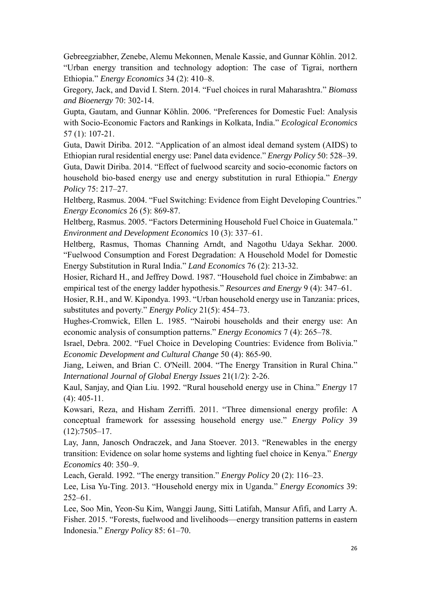Gebreegziabher, Zenebe, Alemu Mekonnen, Menale Kassie, and Gunnar Köhlin. 2012. "Urban energy transition and technology adoption: The case of Tigrai, northern Ethiopia." *Energy Economics* 34 (2): 410–8.

Gregory, Jack, and David I. Stern. 2014. "Fuel choices in rural Maharashtra." *Biomass and Bioenergy* 70: 302-14.

Gupta, Gautam, and Gunnar Köhlin. 2006. "Preferences for Domestic Fuel: Analysis with Socio-Economic Factors and Rankings in Kolkata, India." *Ecological Economics* 57 (1): 107-21.

Guta, Dawit Diriba. 2012. "Application of an almost ideal demand system (AIDS) to Ethiopian rural residential energy use: Panel data evidence." *Energy Policy* 50: 528–39. Guta, Dawit Diriba. 2014. "Effect of fuelwood scarcity and socio-economic factors on household bio-based energy use and energy substitution in rural Ethiopia." *Energy Policy* 75: 217–27.

Heltberg, Rasmus. 2004. "Fuel Switching: Evidence from Eight Developing Countries." *Energy Economics* 26 (5): 869-87.

Heltberg, Rasmus. 2005. "Factors Determining Household Fuel Choice in Guatemala." *Environment and Development Economics* 10 (3): 337–61.

Heltberg, Rasmus, Thomas Channing Arndt, and Nagothu Udaya Sekhar. 2000. "Fuelwood Consumption and Forest Degradation: A Household Model for Domestic Energy Substitution in Rural India." *Land Economics* 76 (2): 213-32.

Hosier, Richard H., and Jeffrey Dowd. 1987. "Household fuel choice in Zimbabwe: an empirical test of the energy ladder hypothesis." *Resources and Energy* 9 (4): 347–61.

Hosier, R.H., and W. Kipondya. 1993. "Urban household energy use in Tanzania: prices, substitutes and poverty." *Energy Policy* 21(5): 454–73.

Hughes-Cromwick, Ellen L. 1985. "Nairobi households and their energy use: An economic analysis of consumption patterns." *Energy Economics* 7 (4): 265–78.

Israel, Debra. 2002. "Fuel Choice in Developing Countries: Evidence from Bolivia." *Economic Development and Cultural Change* 50 (4): 865-90.

Jiang, Leiwen, and Brian C. O'Neill. 2004. "The Energy Transition in Rural China." *International Journal of Global Energy Issues* 21(1/2): 2-26.

Kaul, Sanjay, and Qian Liu. 1992. "Rural household energy use in China." *Energy* 17 (4): 405-11.

Kowsari, Reza, and Hisham Zerriffi. 2011. "Three dimensional energy profile: A conceptual framework for assessing household energy use." *Energy Policy* 39 (12):7505–17.

Lay, Jann, Janosch Ondraczek, and Jana Stoever. 2013. "Renewables in the energy transition: Evidence on solar home systems and lighting fuel choice in Kenya." *Energy Economics* 40: 350–9.

Leach, Gerald. 1992. "The energy transition." *Energy Policy* 20 (2): 116–23.

Lee, Lisa Yu-Ting. 2013. "Household energy mix in Uganda." *Energy Economics* 39: 252–61.

Lee, Soo Min, Yeon-Su Kim, Wanggi Jaung, Sitti Latifah, Mansur Afifi, and Larry A. Fisher. 2015. "Forests, fuelwood and livelihoods—energy transition patterns in eastern Indonesia." *Energy Policy* 85: 61–70.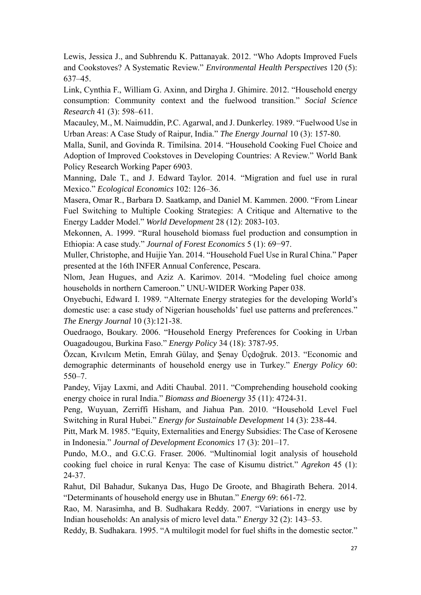Lewis, Jessica J., and Subhrendu K. Pattanayak. 2012. "Who Adopts Improved Fuels and Cookstoves? A Systematic Review." *Environmental Health Perspectives* 120 (5): 637–45.

Link, Cynthia F., William G. Axinn, and Dirgha J. Ghimire. 2012. "Household energy consumption: Community context and the fuelwood transition." *Social Science Research* 41 (3): 598–611.

Macauley, M., M. Naimuddin, P.C. Agarwal, and J. Dunkerley. 1989. "Fuelwood Use in Urban Areas: A Case Study of Raipur, India." *The Energy Journal* 10 (3): 157-80.

Malla, Sunil, and Govinda R. Timilsina. 2014. "Household Cooking Fuel Choice and Adoption of Improved Cookstoves in Developing Countries: A Review." World Bank Policy Research Working Paper 6903.

Manning, Dale T., and J. Edward Taylor. 2014. "Migration and fuel use in rural Mexico." *Ecological Economics* 102: 126–36.

Masera, Omar R., Barbara D. Saatkamp, and Daniel M. Kammen. 2000. "From Linear Fuel Switching to Multiple Cooking Strategies: A Critique and Alternative to the Energy Ladder Model." *World Development* 28 (12): 2083-103.

Mekonnen, A. 1999. "Rural household biomass fuel production and consumption in Ethiopia: A case study." *Journal of Forest Economics* 5 (1): 69−97.

Muller, Christophe, and Huijie Yan. 2014. "Household Fuel Use in Rural China." Paper presented at the 16th INFER Annual Conference, Pescara.

Nlom, Jean Hugues, and Aziz A. Karimov. 2014. "Modeling fuel choice among households in northern Cameroon." UNU-WIDER Working Paper 038.

Onyebuchi, Edward I. 1989. "Alternate Energy strategies for the developing World's domestic use: a case study of Nigerian households' fuel use patterns and preferences." *The Energy Journal* 10 (3):121-38.

Ouedraogo, Boukary. 2006. "Household Energy Preferences for Cooking in Urban Ouagadougou, Burkina Faso." *Energy Policy* 34 (18): 3787-95.

Özcan, Kıvılcım Metin, Emrah Gülay, and Şenay Üçdoğruk. 2013. "Economic and demographic determinants of household energy use in Turkey." *Energy Policy* 60: 550–7.

Pandey, Vijay Laxmi, and Aditi Chaubal. 2011. "Comprehending household cooking energy choice in rural India." *Biomass and Bioenergy* 35 (11): 4724-31.

Peng, Wuyuan, Zerriffi Hisham, and Jiahua Pan. 2010. "Household Level Fuel Switching in Rural Hubei." *Energy for Sustainable Development* 14 (3): 238-44.

Pitt, Mark M. 1985. "Equity, Externalities and Energy Subsidies: The Case of Kerosene in Indonesia." *Journal of Development Economics* 17 (3): 201–17.

Pundo, M.O., and G.C.G. Fraser. 2006. "Multinomial logit analysis of household cooking fuel choice in rural Kenya: The case of Kisumu district." *Agrekon* 45 (1): 24-37.

Rahut, Dil Bahadur, Sukanya Das, Hugo De Groote, and Bhagirath Behera. 2014. "Determinants of household energy use in Bhutan." *Energy* 69: 661-72.

Rao, M. Narasimha, and B. Sudhakara Reddy. 2007. "Variations in energy use by Indian households: An analysis of micro level data." *Energy* 32 (2): 143–53.

Reddy, B. Sudhakara. 1995. "A multilogit model for fuel shifts in the domestic sector."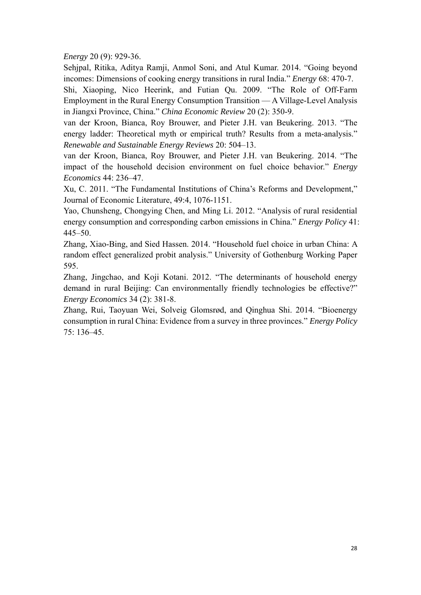*Energy* 20 (9): 929-36.

Sehjpal, Ritika, Aditya Ramji, Anmol Soni, and Atul Kumar. 2014. "Going beyond incomes: Dimensions of cooking energy transitions in rural India." *Energy* 68: 470-7.

Shi, Xiaoping, Nico Heerink, and Futian Qu. 2009. "The Role of Off-Farm Employment in the Rural Energy Consumption Transition — A Village-Level Analysis in Jiangxi Province, China." *China Economic Review* 20 (2): 350-9.

van der Kroon, Bianca, Roy Brouwer, and Pieter J.H. van Beukering. 2013. "The energy ladder: Theoretical myth or empirical truth? Results from a meta-analysis." *Renewable and Sustainable Energy Reviews* 20: 504–13.

van der Kroon, Bianca, Roy Brouwer, and Pieter J.H. van Beukering. 2014. "The impact of the household decision environment on fuel choice behavior." *Energy Economics* 44: 236–47.

Xu, C. 2011. "The Fundamental Institutions of China's Reforms and Development," Journal of Economic Literature, 49:4, 1076-1151.

Yao, Chunsheng, Chongying Chen, and Ming Li. 2012. "Analysis of rural residential energy consumption and corresponding carbon emissions in China." *Energy Policy* 41: 445–50.

Zhang, Xiao-Bing, and Sied Hassen. 2014. "Household fuel choice in urban China: A random effect generalized probit analysis." University of Gothenburg Working Paper 595.

Zhang, Jingchao, and Koji Kotani. 2012. "The determinants of household energy demand in rural Beijing: Can environmentally friendly technologies be effective?" *Energy Economics* 34 (2): 381-8.

Zhang, Rui, Taoyuan Wei, Solveig Glomsrød, and Qinghua Shi. 2014. "Bioenergy consumption in rural China: Evidence from a survey in three provinces." *Energy Policy* 75: 136–45.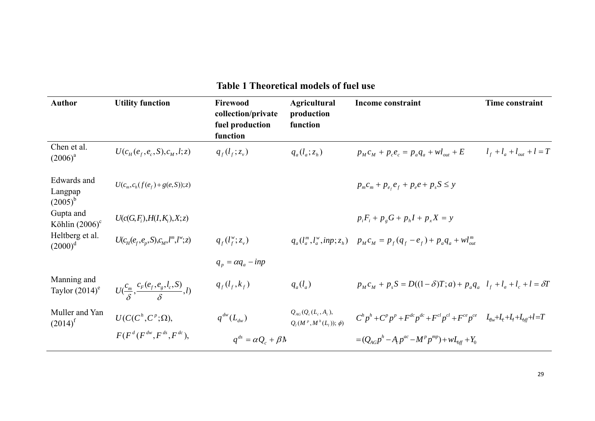| <b>Author</b>                          | <b>Utility function</b>                                | Firewood<br>collection/private<br>fuel production<br>function | <b>Agricultural</b><br>production<br>function                                                                                               | Income constraint                                                                                                                             | <b>Time constraint</b>            |
|----------------------------------------|--------------------------------------------------------|---------------------------------------------------------------|---------------------------------------------------------------------------------------------------------------------------------------------|-----------------------------------------------------------------------------------------------------------------------------------------------|-----------------------------------|
| Chen et al.<br>$(2006)^{a}$            | $U(c_{H}(e_{f},e_{c},S),c_{M},l;z)$                    | $q_{f}(l_{f}; z_{v})$                                         | $q_a(l_a;z_h)$                                                                                                                              | $p_{M}c_{M} + p_{c}e_{c} = p_{a}q_{a} + \nu l_{out} + E$                                                                                      | $l_{f} + l_{a} + l_{out} + l = T$ |
| Edwards and<br>Langpap<br>$(2005)^{b}$ | $U(c_m, c_h(f(e_f) + g(e, S)); z)$                     |                                                               |                                                                                                                                             | $p_{m}c_{m} + p_{e_{f}}e_{f} + p_{e}e + p_{s}S \leq y$                                                                                        |                                   |
| Gupta and<br>Köhlin $(2006)^c$         | $U(c(G, F_i), H(I, K_i), X; z)$                        |                                                               |                                                                                                                                             | $p_i F_i + p_{\nu} G + p_h I + p_{\nu} X = y$                                                                                                 |                                   |
| Heltberg et al.<br>$(2000)^d$          | $U(c_H(e_f, e_p, S), c_M, l^m, l^w; z)$                | $q_{f}(l_{f}^{w}; z_{v})$                                     |                                                                                                                                             | $q_a(l_a^m, l_a^w, inp; z_h)$ $p_M c_M = p_f(q_f - e_f) + p_a q_a + w l_{out}^m$                                                              |                                   |
|                                        |                                                        | $q_p = \alpha q_a - i n p$                                    |                                                                                                                                             |                                                                                                                                               |                                   |
| Manning and<br>Taylor $(2014)^e$       | $U(\frac{c_m}{s}, \frac{c_F(e_f, e_g, l_c, S)}{s}, l)$ | $q_{f}(l_{f},k_{f})$                                          | $q_a(l_a)$                                                                                                                                  | $p_M c_M + p_s S = D((1 - \delta)T; a) + p_a q_a l_f + l_a + l_c + l = \delta T$                                                              |                                   |
| Muller and Yan<br>$(2014)^{f}$         | $U(C(C^h, C^p;\Omega),$                                | $q^{dw}(L_{dw})$                                              | $Q_{\scriptscriptstyle{AG}}(Q_{\scriptscriptstyle{c}}(L_{\scriptscriptstyle{c}},A_{\scriptscriptstyle{c}}),$<br>$Q_i(M^p, M^h(L_i)); \phi)$ | $C^{h} p^{h} + C^{p} p^{p} + F^{dc} p^{dc} + F^{cl} p^{cl} + F^{ce} p^{ce}$ $L_{\mu\nu} + L_{\tau} + L_{\tau} + L_{\theta\theta\tau} + l = T$ |                                   |
|                                        | $F(F^d(F^{dw}, F^{ds}, F^{dc}),$                       | $q^{ds} = \alpha Q_c + \beta \lambda$                         |                                                                                                                                             | $=(Q_{AC}p^{h}-A_{C}p^{ac}-M^{p}p^{mp})+wL_{def}+Y_{0}$                                                                                       |                                   |

#### **Table 1 Theoretical models of fuel use**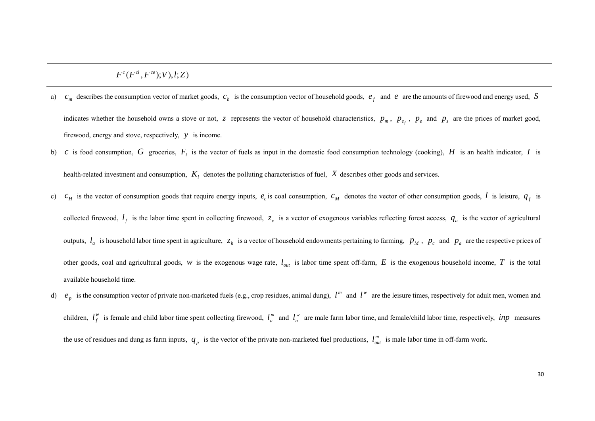$F^c(F^{cl},F^{ce});V),l;Z)$ 

- a)  $c_m$  describes the consumption vector of market goods,  $c_h$  is the consumption vector of household goods,  $e_f$  and  $e$  are the amounts of firewood and energy used, *S* indicates whether the household owns a stove or not, *z* represents the vector of household characteristics,  $p_m$ ,  $p_e$ ,  $p_e$  and  $p_s$  are the prices of market good, firewood, energy and stove, respectively, *y* is income.
- b) *c* is food consumption, *G* groceries,  $F_i$  is the vector of fuels as input in the domestic food consumption technology (cooking), *H* is an health indicator, *I* is health-related investment and consumption,  $K_i$  denotes the polluting characteristics of fuel,  $X$  describes other goods and services.
- c)  $c_H$  is the vector of consumption goods that require energy inputs,  $e_c$  is coal consumption,  $c_M$  denotes the vector of other consumption goods, *l* is leisure,  $q_f$  is collected firewood,  $l_f$  is the labor time spent in collecting firewood,  $z_v$  is a vector of exogenous variables reflecting forest access,  $q_a$  is the vector of agricultural outputs,  $l_a$  is household labor time spent in agriculture,  $z_h$  is a vector of household endowments pertaining to farming,  $p_M$ ,  $p_c$  and  $p_a$  are the respective prices of other goods, coal and agricultural goods, *w* is the exogenous wage rate,  $l_{out}$  is labor time spent off-farm,  $E$  is the exogenous household income,  $T$  is the total available household time.
- d)  $e_p$  is the consumption vector of private non-marketed fuels (e.g., crop residues, animal dung),  $l^m$  and  $l^w$  are the leisure times, respectively for adult men, women and children,  $l_f^w$  is female and child labor time spent collecting firewood,  $l_a^m$  and  $l_a^w$  are male farm labor time, and female/child labor time, respectively, *inp* measures the use of residues and dung as farm inputs,  $q_p$  is the vector of the private non-marketed fuel productions,  $l_{out}^m$  is male labor time in off-farm work.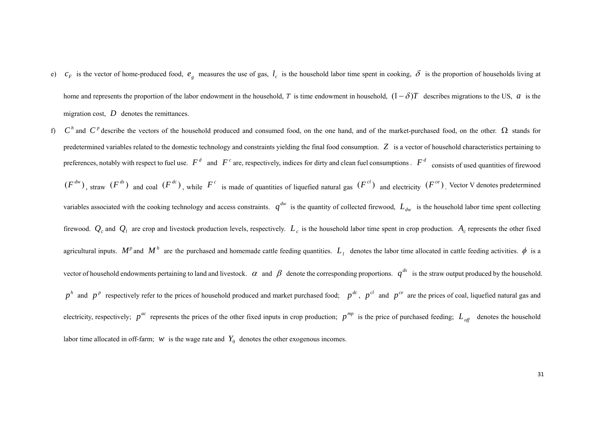- e)  $c_F$  is the vector of home-produced food,  $e_g$  measures the use of gas,  $l_c$  is the household labor time spent in cooking,  $\delta$  is the proportion of households living at home and represents the proportion of the labor endowment in the household, *T* is time endowment in household,  $(1 - \delta)T$  describes migrations to the US, *a* is the migration cost, D denotes the remittances.
- f)  $C^h$  and  $C^p$  describe the vectors of the household produced and consumed food, on the one hand, and of the market-purchased food, on the other.  $\Omega$  stands for predetermined variables related to the domestic technology and constraints yielding the final food consumption. *Z* is a vector of household characteristics pertaining to preferences, notably with respect to fuel use.  $F^d$  and  $F^c$  are, respectively, indices for dirty and clean fuel consumptions .  $F^d$  consists of used quantities of firewood  $(F^{dw})$ , straw  $(F^{ds})$  and coal  $(F^{dc})$ , while  $F^c$  is made of quantities of liquefied natural gas  $(F^{cd})$  and electricity  $(F^{ce})$ . Vector V denotes predetermined variables associated with the cooking technology and access constraints.  $q^{dw}$  is the quantity of collected firewood,  $L_{dw}$  is the household labor time spent collecting firewood.  $Q_c$  and  $Q_l$  are crop and livestock production levels, respectively.  $L_c$  is the household labor time spent in crop production.  $A_c$  represents the other fixed agricultural inputs.  $M^p$  and  $M^h$  are the purchased and homemade cattle feeding quantities.  $L_i$  denotes the labor time allocated in cattle feeding activities.  $\phi$  is a vector of household endowments pertaining to land and livestock.  $\alpha$  and  $\beta$  denote the corresponding proportions.  $q^{ds}$  is the straw output produced by the household.  $p^h$  and  $p^p$  respectively refer to the prices of household produced and market purchased food;  $p^{dc}$ ,  $p^{cl}$  and  $p^{ce}$  are the prices of coal, liquefied natural gas and electricity, respectively;  $p^{ac}$  represents the prices of the other fixed inputs in crop production;  $p^{mp}$  is the price of purchased feeding;  $L_{off}$  denotes the household labor time allocated in off-farm; *w* is the wage rate and  $Y_0$  denotes the other exogenous incomes.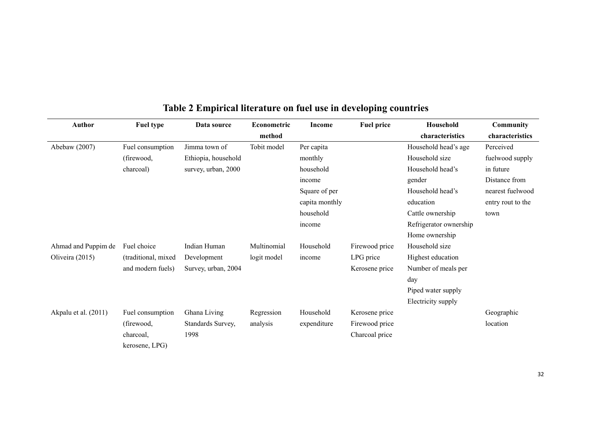| <b>Author</b>        | <b>Fuel type</b>    | Data source         | Econometric | <b>Income</b>  | <b>Fuel price</b> | Household              | Community         |
|----------------------|---------------------|---------------------|-------------|----------------|-------------------|------------------------|-------------------|
|                      |                     |                     | method      |                |                   | characteristics        | characteristics   |
| Abebaw (2007)        | Fuel consumption    | Jimma town of       | Tobit model | Per capita     |                   | Household head's age   | Perceived         |
|                      | (firewood,          | Ethiopia, household |             | monthly        |                   | Household size         | fuelwood supply   |
|                      | charcoal)           | survey, urban, 2000 |             | household      |                   | Household head's       | in future         |
|                      |                     |                     |             | income         |                   | gender                 | Distance from     |
|                      |                     |                     |             | Square of per  |                   | Household head's       | nearest fuelwood  |
|                      |                     |                     |             | capita monthly |                   | education              | entry rout to the |
|                      |                     |                     |             | household      |                   | Cattle ownership       | town              |
|                      |                     |                     |             | income         |                   | Refrigerator ownership |                   |
|                      |                     |                     |             |                |                   | Home ownership         |                   |
| Ahmad and Puppim de  | Fuel choice         | Indian Human        | Multinomial | Household      | Firewood price    | Household size         |                   |
| Oliveira (2015)      | (traditional, mixed | Development         | logit model | income         | LPG price         | Highest education      |                   |
|                      | and modern fuels)   | Survey, urban, 2004 |             |                | Kerosene price    | Number of meals per    |                   |
|                      |                     |                     |             |                |                   | day                    |                   |
|                      |                     |                     |             |                |                   | Piped water supply     |                   |
|                      |                     |                     |             |                |                   | Electricity supply     |                   |
| Akpalu et al. (2011) | Fuel consumption    | Ghana Living        | Regression  | Household      | Kerosene price    |                        | Geographic        |
|                      | (firewood,          | Standards Survey,   | analysis    | expenditure    | Firewood price    |                        | location          |
|                      | charcoal,           | 1998                |             |                | Charcoal price    |                        |                   |
|                      | kerosene, LPG)      |                     |             |                |                   |                        |                   |

## **Table 2 Empirical literature on fuel use in developing countries**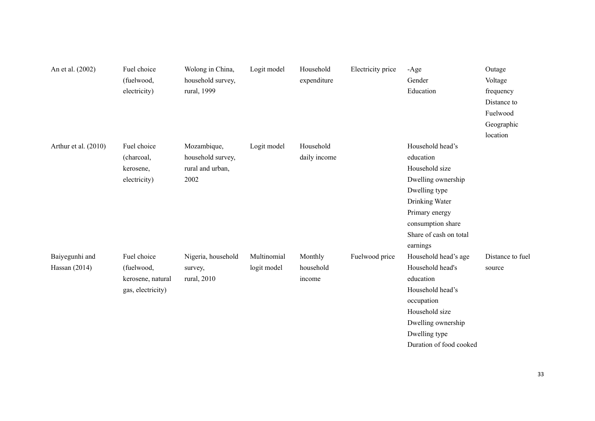| An et al. (2002)                | Fuel choice<br>(fuelwood,<br>electricity)                           | Wolong in China,<br>household survey,<br>rural, 1999         | Logit model                | Household<br>expenditure       | Electricity price | $-Age$<br>Gender<br>Education                                                                                                                                                         | Outage<br>Voltage<br>frequency<br>Distance to |
|---------------------------------|---------------------------------------------------------------------|--------------------------------------------------------------|----------------------------|--------------------------------|-------------------|---------------------------------------------------------------------------------------------------------------------------------------------------------------------------------------|-----------------------------------------------|
|                                 |                                                                     |                                                              |                            |                                |                   |                                                                                                                                                                                       | Fuelwood<br>Geographic                        |
|                                 |                                                                     |                                                              |                            |                                |                   |                                                                                                                                                                                       | location                                      |
| Arthur et al. (2010)            | Fuel choice<br>(charcoal,<br>kerosene,<br>electricity)              | Mozambique,<br>household survey,<br>rural and urban,<br>2002 | Logit model                | Household<br>daily income      |                   | Household head's<br>education<br>Household size<br>Dwelling ownership<br>Dwelling type<br>Drinking Water<br>Primary energy<br>consumption share<br>Share of cash on total<br>earnings |                                               |
| Baiyegunhi and<br>Hassan (2014) | Fuel choice<br>(fuelwood,<br>kerosene, natural<br>gas, electricity) | Nigeria, household<br>survey,<br>rural, 2010                 | Multinomial<br>logit model | Monthly<br>household<br>income | Fuelwood price    | Household head's age<br>Household head's<br>education<br>Household head's<br>occupation<br>Household size<br>Dwelling ownership<br>Dwelling type<br>Duration of food cooked           | Distance to fuel<br>source                    |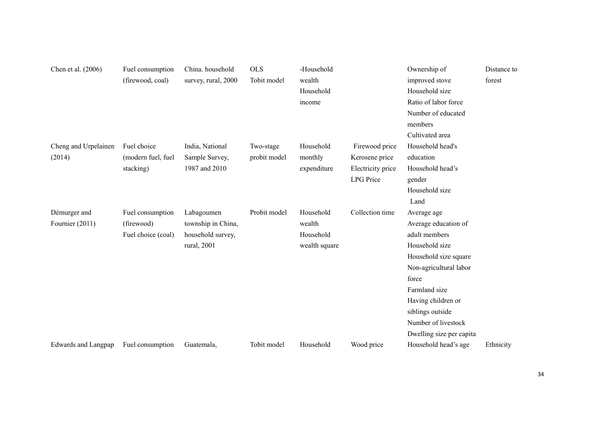| Chen et al. (2006)         | Fuel consumption   | China. household    | <b>OLS</b>   | -Household    |                   | Ownership of             | Distance to |
|----------------------------|--------------------|---------------------|--------------|---------------|-------------------|--------------------------|-------------|
|                            | (firewood, coal)   | survey, rural, 2000 | Tobit model  | wealth        |                   | improved stove           | forest      |
|                            |                    |                     |              | Household     |                   | Household size           |             |
|                            |                    |                     |              | income        |                   | Ratio of labor force     |             |
|                            |                    |                     |              |               |                   | Number of educated       |             |
|                            |                    |                     |              |               |                   | members                  |             |
|                            |                    |                     |              |               |                   | Cultivated area          |             |
| Cheng and Urpelainen       | Fuel choice        | India, National     | Two-stage    | Household     | Firewood price    | Household head's         |             |
| (2014)                     | (modern fuel, fuel | Sample Survey,      | probit model | monthly       | Kerosene price    | education                |             |
|                            | stacking)          | 1987 and 2010       |              | expenditure   | Electricity price | Household head's         |             |
|                            |                    |                     |              |               | <b>LPG</b> Price  | gender                   |             |
|                            |                    |                     |              |               |                   | Household size           |             |
|                            |                    |                     |              |               |                   | Land                     |             |
| Démurger and               | Fuel consumption   | Labagoumen          | Probit model | Household     | Collection time   | Average age              |             |
| Fournier (2011)            | (firewood)         | township in China,  |              | wealth        |                   | Average education of     |             |
|                            | Fuel choice (coal) | household survey,   |              | Household     |                   | adult members            |             |
|                            |                    | rural, 2001         |              | wealth square |                   | Household size           |             |
|                            |                    |                     |              |               |                   | Household size square    |             |
|                            |                    |                     |              |               |                   | Non-agricultural labor   |             |
|                            |                    |                     |              |               |                   | force                    |             |
|                            |                    |                     |              |               |                   | Farmland size            |             |
|                            |                    |                     |              |               |                   | Having children or       |             |
|                            |                    |                     |              |               |                   | siblings outside         |             |
|                            |                    |                     |              |               |                   | Number of livestock      |             |
|                            |                    |                     |              |               |                   | Dwelling size per capita |             |
| <b>Edwards and Langpap</b> | Fuel consumption   | Guatemala,          | Tobit model  | Household     | Wood price        | Household head's age     | Ethnicity   |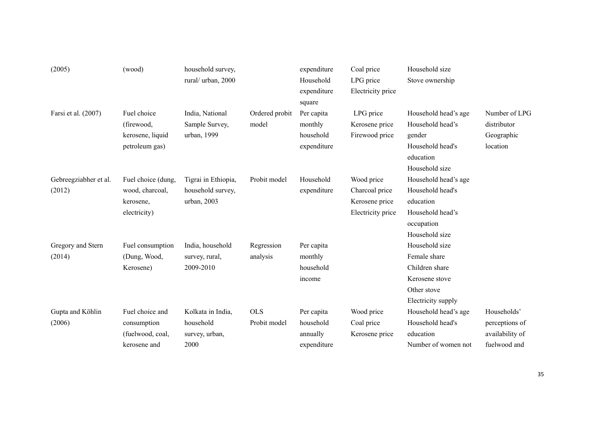| (2005)                | (wood)             | household survey,   |                | expenditure | Coal price        | Household size       |                 |
|-----------------------|--------------------|---------------------|----------------|-------------|-------------------|----------------------|-----------------|
|                       |                    | rural/ urban, 2000  |                | Household   | LPG price         | Stove ownership      |                 |
|                       |                    |                     |                | expenditure | Electricity price |                      |                 |
|                       |                    |                     |                | square      |                   |                      |                 |
| Farsi et al. (2007)   | Fuel choice        | India, National     | Ordered probit | Per capita  | LPG price         | Household head's age | Number of LPG   |
|                       | (firewood,         | Sample Survey,      | model          | monthly     | Kerosene price    | Household head's     | distributor     |
|                       | kerosene, liquid   | urban, 1999         |                | household   | Firewood price    | gender               | Geographic      |
|                       | petroleum gas)     |                     |                | expenditure |                   | Household head's     | location        |
|                       |                    |                     |                |             |                   | education            |                 |
|                       |                    |                     |                |             |                   | Household size       |                 |
| Gebreegziabher et al. | Fuel choice (dung, | Tigrai in Ethiopia, | Probit model   | Household   | Wood price        | Household head's age |                 |
| (2012)                | wood, charcoal,    | household survey,   |                | expenditure | Charcoal price    | Household head's     |                 |
|                       | kerosene,          | urban, 2003         |                |             | Kerosene price    | education            |                 |
|                       | electricity)       |                     |                |             | Electricity price | Household head's     |                 |
|                       |                    |                     |                |             |                   | occupation           |                 |
|                       |                    |                     |                |             |                   | Household size       |                 |
| Gregory and Stern     | Fuel consumption   | India, household    | Regression     | Per capita  |                   | Household size       |                 |
| (2014)                | (Dung, Wood,       | survey, rural,      | analysis       | monthly     |                   | Female share         |                 |
|                       | Kerosene)          | 2009-2010           |                | household   |                   | Children share       |                 |
|                       |                    |                     |                | income      |                   | Kerosene stove       |                 |
|                       |                    |                     |                |             |                   | Other stove          |                 |
|                       |                    |                     |                |             |                   | Electricity supply   |                 |
| Gupta and Köhlin      | Fuel choice and    | Kolkata in India,   | <b>OLS</b>     | Per capita  | Wood price        | Household head's age | Households'     |
| (2006)                | consumption        | household           | Probit model   | household   | Coal price        | Household head's     | perceptions of  |
|                       | (fuelwood, coal,   | survey, urban,      |                | annually    | Kerosene price    | education            | availability of |
|                       | kerosene and       | 2000                |                | expenditure |                   | Number of women not  | fuelwood and    |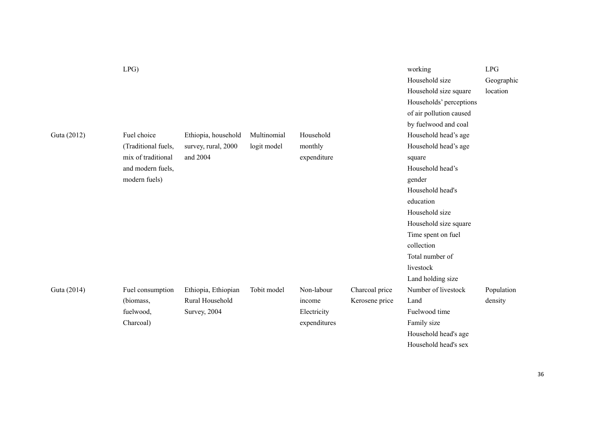|             | LPG                 |                     |             |              |                | working                 | LPG        |
|-------------|---------------------|---------------------|-------------|--------------|----------------|-------------------------|------------|
|             |                     |                     |             |              |                | Household size          | Geographic |
|             |                     |                     |             |              |                | Household size square   | location   |
|             |                     |                     |             |              |                | Households' perceptions |            |
|             |                     |                     |             |              |                | of air pollution caused |            |
|             |                     |                     |             |              |                | by fuelwood and coal    |            |
| Guta (2012) | Fuel choice         | Ethiopia, household | Multinomial | Household    |                | Household head's age    |            |
|             | (Traditional fuels, | survey, rural, 2000 | logit model | monthly      |                | Household head's age    |            |
|             | mix of traditional  | and 2004            |             | expenditure  |                | square                  |            |
|             | and modern fuels,   |                     |             |              |                | Household head's        |            |
|             | modern fuels)       |                     |             |              |                | gender                  |            |
|             |                     |                     |             |              |                | Household head's        |            |
|             |                     |                     |             |              |                | education               |            |
|             |                     |                     |             |              |                | Household size          |            |
|             |                     |                     |             |              |                | Household size square   |            |
|             |                     |                     |             |              |                | Time spent on fuel      |            |
|             |                     |                     |             |              |                | collection              |            |
|             |                     |                     |             |              |                | Total number of         |            |
|             |                     |                     |             |              |                | livestock               |            |
|             |                     |                     |             |              |                | Land holding size       |            |
| Guta (2014) | Fuel consumption    | Ethiopia, Ethiopian | Tobit model | Non-labour   | Charcoal price | Number of livestock     | Population |
|             | (biomass,           | Rural Household     |             | income       | Kerosene price | Land                    | density    |
|             | fuelwood,           | Survey, 2004        |             | Electricity  |                | Fuelwood time           |            |
|             | Charcoal)           |                     |             | expenditures |                | Family size             |            |
|             |                     |                     |             |              |                | Household head's age    |            |
|             |                     |                     |             |              |                | Household head's sex    |            |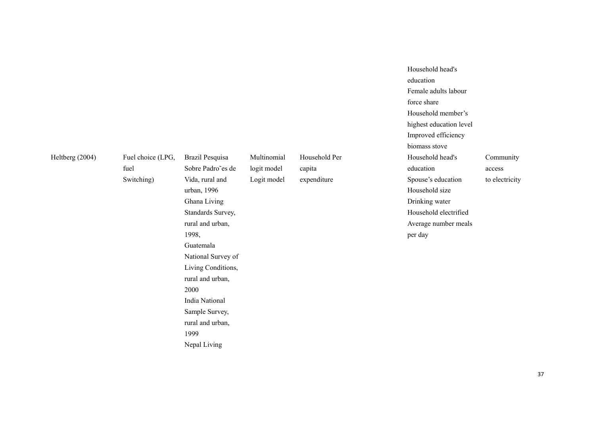Heltberg (2004) Fuel choice (LPG,

Switching)

fuel

Brazil Pesquisa Sobre Padro˜es de Vida, rural and urban, 1996 Ghana Living Standards Survey, rural and urban, 1998, Guatemala National Survey of Living Conditions, rural and urban, 2000 India National Sample Survey, rural and urban, 1999 Nepal Living Multinomial logit model Logit model

Household Per capita

expenditure

force share Household member's highest education level Improved efficiency biomass stove Household head's education Spouse's education Household size Drinking water Household electrified Average number meals per day

Household head's

Female adults labour

education

Community access

to electricity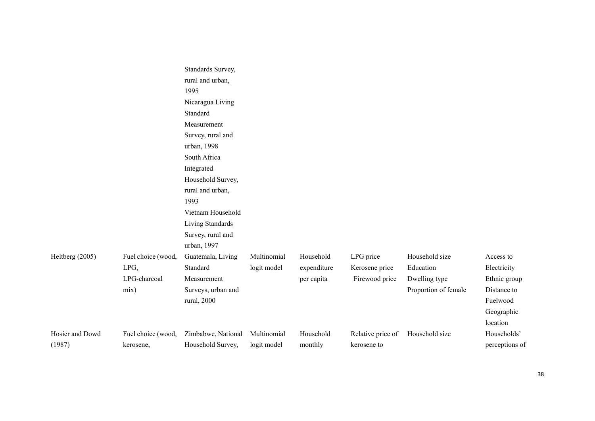|                 |                    | Standards Survey,  |             |             |                   |                      |                        |
|-----------------|--------------------|--------------------|-------------|-------------|-------------------|----------------------|------------------------|
|                 |                    | rural and urban,   |             |             |                   |                      |                        |
|                 |                    | 1995               |             |             |                   |                      |                        |
|                 |                    | Nicaragua Living   |             |             |                   |                      |                        |
|                 |                    | Standard           |             |             |                   |                      |                        |
|                 |                    | Measurement        |             |             |                   |                      |                        |
|                 |                    | Survey, rural and  |             |             |                   |                      |                        |
|                 |                    | urban, 1998        |             |             |                   |                      |                        |
|                 |                    | South Africa       |             |             |                   |                      |                        |
|                 |                    | Integrated         |             |             |                   |                      |                        |
|                 |                    | Household Survey,  |             |             |                   |                      |                        |
|                 |                    | rural and urban,   |             |             |                   |                      |                        |
|                 |                    | 1993               |             |             |                   |                      |                        |
|                 |                    | Vietnam Household  |             |             |                   |                      |                        |
|                 |                    | Living Standards   |             |             |                   |                      |                        |
|                 |                    | Survey, rural and  |             |             |                   |                      |                        |
|                 |                    | urban, 1997        |             |             |                   |                      |                        |
| Heltberg (2005) | Fuel choice (wood, | Guatemala, Living  | Multinomial | Household   | LPG price         | Household size       | Access to              |
|                 | LPG,               | Standard           | logit model | expenditure | Kerosene price    | Education            | Electricity            |
|                 | LPG-charcoal       | Measurement        |             | per capita  | Firewood price    | Dwelling type        | Ethnic group           |
|                 | mix)               | Surveys, urban and |             |             |                   | Proportion of female | Distance to            |
|                 |                    | rural, 2000        |             |             |                   |                      | Fuelwood               |
|                 |                    |                    |             |             |                   |                      |                        |
|                 |                    |                    |             |             |                   |                      | Geographic<br>location |
|                 |                    |                    |             |             |                   |                      |                        |
| Hosier and Dowd | Fuel choice (wood, | Zimbabwe, National | Multinomial | Household   | Relative price of | Household size       | Households'            |
| (1987)          | kerosene,          | Household Survey,  | logit model | monthly     | kerosene to       |                      | perceptions of         |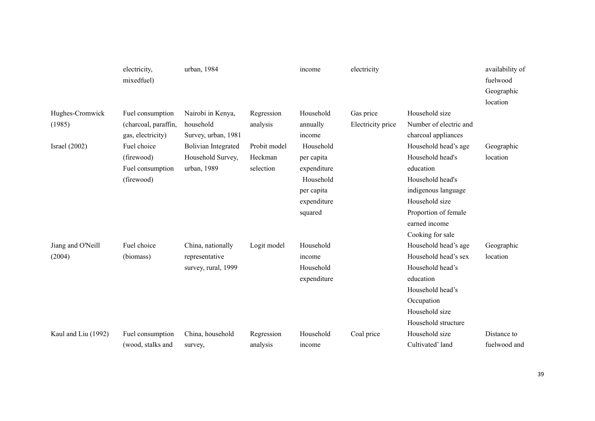|                             | electricity,<br>mixedfuel)                                                       | urban, 1984                                                                           |                                      | income                                                                                                | electricity                    |                                                                                                                                                                                                        | availability of<br>fuelwood<br>Geographic<br>location |
|-----------------------------|----------------------------------------------------------------------------------|---------------------------------------------------------------------------------------|--------------------------------------|-------------------------------------------------------------------------------------------------------|--------------------------------|--------------------------------------------------------------------------------------------------------------------------------------------------------------------------------------------------------|-------------------------------------------------------|
| Hughes-Cromwick<br>(1985)   | Fuel consumption<br>(charcoal, paraffin,                                         | Nairobi in Kenya,<br>household                                                        | Regression<br>analysis               | Household<br>annually                                                                                 | Gas price<br>Electricity price | Household size<br>Number of electric and                                                                                                                                                               |                                                       |
| Israel $(2002)$             | gas, electricity)<br>Fuel choice<br>(firewood)<br>Fuel consumption<br>(firewood) | Survey, urban, 1981<br><b>Bolivian Integrated</b><br>Household Survey,<br>urban, 1989 | Probit model<br>Heckman<br>selection | income<br>Household<br>per capita<br>expenditure<br>Household<br>per capita<br>expenditure<br>squared |                                | charcoal appliances<br>Household head's age<br>Household head's<br>education<br>Household head's<br>indigenous language<br>Household size<br>Proportion of female<br>earned income<br>Cooking for sale | Geographic<br>location                                |
| Jiang and O'Neill<br>(2004) | Fuel choice<br>(biomass)                                                         | China, nationally<br>representative<br>survey, rural, 1999                            | Logit model                          | Household<br>income<br>Household<br>expenditure                                                       |                                | Household head's age<br>Household head's sex<br>Household head's<br>education<br>Household head's<br>Occupation<br>Household size<br>Household structure                                               | Geographic<br>location                                |
| Kaul and Liu (1992)         | Fuel consumption<br>(wood, stalks and                                            | China, household<br>survey,                                                           | Regression<br>analysis               | Household<br>income                                                                                   | Coal price                     | Household size<br>Cultivated' land                                                                                                                                                                     | Distance to<br>fuelwood and                           |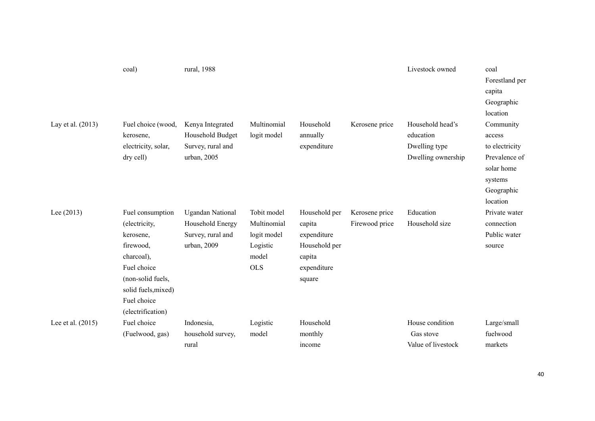|                   | coal)                                                                                                                                                                    | rural, 1988                                                                     |                                                                              |                                                                                            |                                  | Livestock owned                                                      | coal<br>Forestland per<br>capita<br>Geographic<br>location                                                |
|-------------------|--------------------------------------------------------------------------------------------------------------------------------------------------------------------------|---------------------------------------------------------------------------------|------------------------------------------------------------------------------|--------------------------------------------------------------------------------------------|----------------------------------|----------------------------------------------------------------------|-----------------------------------------------------------------------------------------------------------|
| Lay et al. (2013) | Fuel choice (wood,<br>kerosene,<br>electricity, solar,<br>dry cell)                                                                                                      | Kenya Integrated<br>Household Budget<br>Survey, rural and<br>urban, 2005        | Multinomial<br>logit model                                                   | Household<br>annually<br>expenditure                                                       | Kerosene price                   | Household head's<br>education<br>Dwelling type<br>Dwelling ownership | Community<br>access<br>to electricity<br>Prevalence of<br>solar home<br>systems<br>Geographic<br>location |
| Lee $(2013)$      | Fuel consumption<br>(electricity,<br>kerosene,<br>firewood,<br>charcoal),<br>Fuel choice<br>(non-solid fuels,<br>solid fuels, mixed)<br>Fuel choice<br>(electrification) | <b>Ugandan National</b><br>Household Energy<br>Survey, rural and<br>urban, 2009 | Tobit model<br>Multinomial<br>logit model<br>Logistic<br>model<br><b>OLS</b> | Household per<br>capita<br>expenditure<br>Household per<br>capita<br>expenditure<br>square | Kerosene price<br>Firewood price | Education<br>Household size                                          | Private water<br>connection<br>Public water<br>source                                                     |
| Lee et al. (2015) | Fuel choice<br>(Fuelwood, gas)                                                                                                                                           | Indonesia,<br>household survey,<br>rural                                        | Logistic<br>model                                                            | Household<br>monthly<br>income                                                             |                                  | House condition<br>Gas stove<br>Value of livestock                   | Large/small<br>fuelwood<br>markets                                                                        |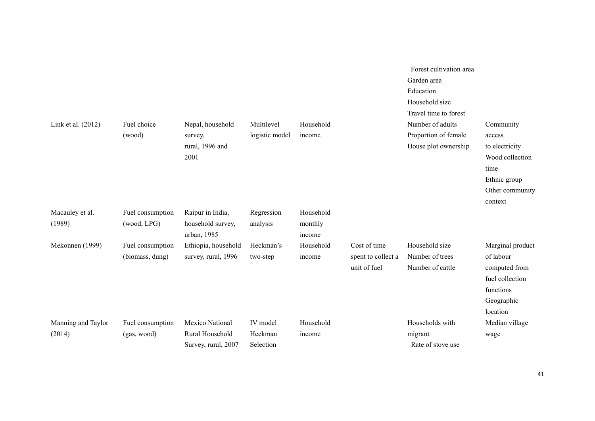|                              |                                     |                                                           |                                  |                                |                                                    | Forest cultivation area<br>Garden area<br>Education<br>Household size<br>Travel time to forest |                                                                                                                |
|------------------------------|-------------------------------------|-----------------------------------------------------------|----------------------------------|--------------------------------|----------------------------------------------------|------------------------------------------------------------------------------------------------|----------------------------------------------------------------------------------------------------------------|
| Link et al. (2012)           | Fuel choice<br>(wood)               | Nepal, household<br>survey,<br>rural, 1996 and<br>2001    | Multilevel<br>logistic model     | Household<br>income            |                                                    | Number of adults<br>Proportion of female<br>House plot ownership                               | Community<br>access<br>to electricity<br>Wood collection<br>time<br>Ethnic group<br>Other community<br>context |
| Macauley et al.<br>(1989)    | Fuel consumption<br>(wood, LPG)     | Raipur in India,<br>household survey,<br>urban, 1985      | Regression<br>analysis           | Household<br>monthly<br>income |                                                    |                                                                                                |                                                                                                                |
| Mekonnen (1999)              | Fuel consumption<br>(biomass, dung) | Ethiopia, household<br>survey, rural, 1996                | Heckman's<br>two-step            | Household<br>income            | Cost of time<br>spent to collect a<br>unit of fuel | Household size<br>Number of trees<br>Number of cattle                                          | Marginal product<br>of labour<br>computed from<br>fuel collection<br>functions<br>Geographic<br>location       |
| Manning and Taylor<br>(2014) | Fuel consumption<br>(gas, wood)     | Mexico National<br>Rural Household<br>Survey, rural, 2007 | IV model<br>Heckman<br>Selection | Household<br>income            |                                                    | Households with<br>migrant<br>Rate of stove use                                                | Median village<br>wage                                                                                         |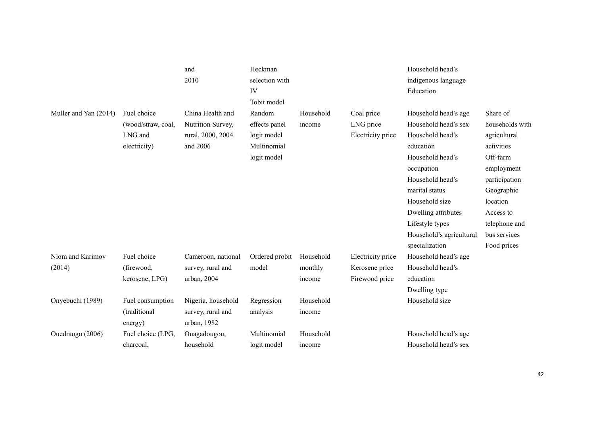|                       |                    | and                | Heckman        |           |                   | Household head's         |                 |
|-----------------------|--------------------|--------------------|----------------|-----------|-------------------|--------------------------|-----------------|
|                       |                    | 2010               | selection with |           |                   | indigenous language      |                 |
|                       |                    |                    | IV             |           |                   | Education                |                 |
|                       |                    |                    | Tobit model    |           |                   |                          |                 |
| Muller and Yan (2014) | Fuel choice        | China Health and   | Random         | Household | Coal price        | Household head's age     | Share of        |
|                       | (wood/straw, coal, | Nutrition Survey,  | effects panel  | income    | LNG price         | Household head's sex     | households with |
|                       | LNG and            | rural, 2000, 2004  | logit model    |           | Electricity price | Household head's         | agricultural    |
|                       | electricity)       | and 2006           | Multinomial    |           |                   | education                | activities      |
|                       |                    |                    | logit model    |           |                   | Household head's         | Off-farm        |
|                       |                    |                    |                |           |                   | occupation               | employment      |
|                       |                    |                    |                |           |                   | Household head's         | participation   |
|                       |                    |                    |                |           |                   | marital status           | Geographic      |
|                       |                    |                    |                |           |                   | Household size           | location        |
|                       |                    |                    |                |           |                   | Dwelling attributes      | Access to       |
|                       |                    |                    |                |           |                   | Lifestyle types          | telephone and   |
|                       |                    |                    |                |           |                   | Household's agricultural | bus services    |
|                       |                    |                    |                |           |                   | specialization           | Food prices     |
| Nlom and Karimov      | Fuel choice        | Cameroon, national | Ordered probit | Household | Electricity price | Household head's age     |                 |
| (2014)                | (firewood,         | survey, rural and  | model          | monthly   | Kerosene price    | Household head's         |                 |
|                       | kerosene, LPG)     | urban, 2004        |                | income    | Firewood price    | education                |                 |
|                       |                    |                    |                |           |                   | Dwelling type            |                 |
| Onyebuchi (1989)      | Fuel consumption   | Nigeria, household | Regression     | Household |                   | Household size           |                 |
|                       | (traditional       | survey, rural and  | analysis       | income    |                   |                          |                 |
|                       | energy)            | urban, 1982        |                |           |                   |                          |                 |
| Ouedraogo (2006)      | Fuel choice (LPG,  | Ouagadougou,       | Multinomial    | Household |                   | Household head's age     |                 |
|                       | charcoal,          | household          | logit model    | income    |                   | Household head's sex     |                 |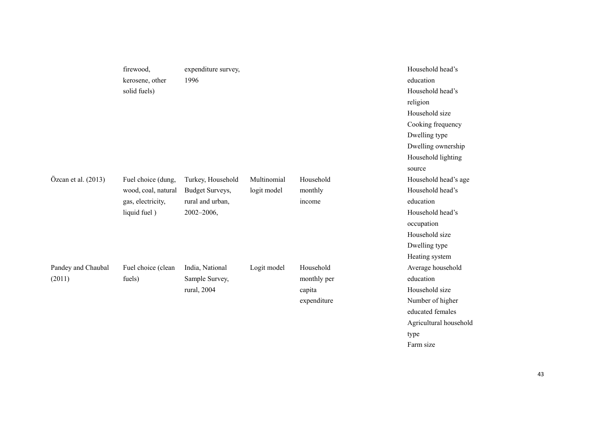|                       | firewood,           | expenditure survey, |             |             | Household head's       |
|-----------------------|---------------------|---------------------|-------------|-------------|------------------------|
|                       | kerosene, other     | 1996                |             |             | education              |
|                       | solid fuels)        |                     |             |             | Household head's       |
|                       |                     |                     |             |             | religion               |
|                       |                     |                     |             |             | Household size         |
|                       |                     |                     |             |             | Cooking frequency      |
|                       |                     |                     |             |             | Dwelling type          |
|                       |                     |                     |             |             | Dwelling ownership     |
|                       |                     |                     |             |             | Household lighting     |
|                       |                     |                     |             |             | source                 |
| Özcan et al. $(2013)$ | Fuel choice (dung,  | Turkey, Household   | Multinomial | Household   | Household head's age   |
|                       | wood, coal, natural | Budget Surveys,     | logit model | monthly     | Household head's       |
|                       | gas, electricity,   | rural and urban,    |             | income      | education              |
|                       | liquid fuel)        | $2002 - 2006,$      |             |             | Household head's       |
|                       |                     |                     |             |             | occupation             |
|                       |                     |                     |             |             | Household size         |
|                       |                     |                     |             |             | Dwelling type          |
|                       |                     |                     |             |             | Heating system         |
| Pandey and Chaubal    | Fuel choice (clean  | India, National     | Logit model | Household   | Average household      |
| (2011)                | fuels)              | Sample Survey,      |             | monthly per | education              |
|                       |                     | rural, 2004         |             | capita      | Household size         |
|                       |                     |                     |             | expenditure | Number of higher       |
|                       |                     |                     |             |             | educated females       |
|                       |                     |                     |             |             | Agricultural household |

type Farm size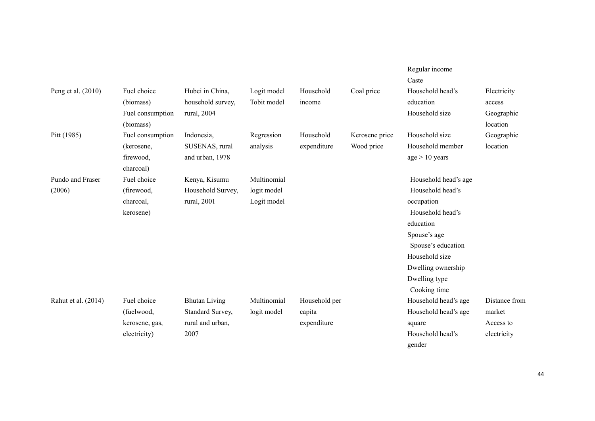|                     |                  |                      |             |               |                | Regular income       |               |
|---------------------|------------------|----------------------|-------------|---------------|----------------|----------------------|---------------|
|                     |                  |                      |             |               |                | Caste                |               |
| Peng et al. (2010)  | Fuel choice      | Hubei in China,      | Logit model | Household     | Coal price     | Household head's     | Electricity   |
|                     | (biomass)        | household survey,    | Tobit model | income        |                | education            | access        |
|                     | Fuel consumption | rural, 2004          |             |               |                | Household size       | Geographic    |
|                     | (biomass)        |                      |             |               |                |                      | location      |
| Pitt (1985)         | Fuel consumption | Indonesia,           | Regression  | Household     | Kerosene price | Household size       | Geographic    |
|                     | (kerosene,       | SUSENAS, rural       | analysis    | expenditure   | Wood price     | Household member     | location      |
|                     | firewood,        | and urban, 1978      |             |               |                | age > 10 years       |               |
|                     | charcoal)        |                      |             |               |                |                      |               |
| Pundo and Fraser    | Fuel choice      | Kenya, Kisumu        | Multinomial |               |                | Household head's age |               |
| (2006)              | (firewood,       | Household Survey,    | logit model |               |                | Household head's     |               |
|                     | charcoal,        | rural, 2001          | Logit model |               |                | occupation           |               |
|                     | kerosene)        |                      |             |               |                | Household head's     |               |
|                     |                  |                      |             |               |                | education            |               |
|                     |                  |                      |             |               |                | Spouse's age         |               |
|                     |                  |                      |             |               |                | Spouse's education   |               |
|                     |                  |                      |             |               |                | Household size       |               |
|                     |                  |                      |             |               |                | Dwelling ownership   |               |
|                     |                  |                      |             |               |                | Dwelling type        |               |
|                     |                  |                      |             |               |                | Cooking time         |               |
| Rahut et al. (2014) | Fuel choice      | <b>Bhutan Living</b> | Multinomial | Household per |                | Household head's age | Distance from |
|                     | (fuelwood,       | Standard Survey,     | logit model | capita        |                | Household head's age | market        |
|                     | kerosene, gas,   | rural and urban,     |             | expenditure   |                | square               | Access to     |
|                     | electricity)     | 2007                 |             |               |                | Household head's     | electricity   |
|                     |                  |                      |             |               |                | gender               |               |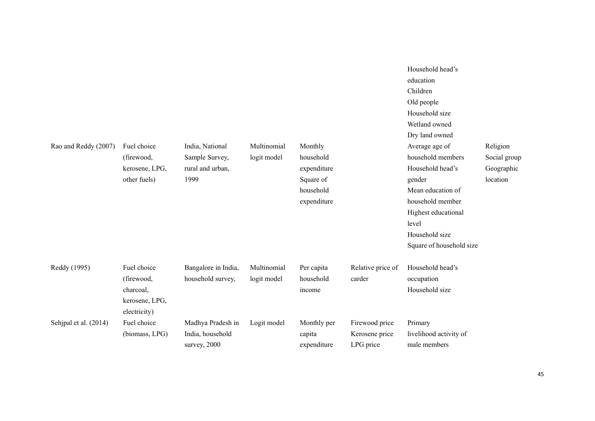| Rao and Reddy (2007)  | Fuel choice<br>(firewood,<br>kerosene, LPG,<br>other fuels) | India, National<br>Sample Survey,<br>rural and urban,<br>1999 | Multinomial<br>logit model | Monthly<br>household<br>expenditure<br>Square of<br>household<br>expenditure |                                               | Household head's<br>education<br>Children<br>Old people<br>Household size<br>Wetland owned<br>Dry land owned<br>Average age of<br>household members<br>Household head's<br>gender<br>Mean education of<br>household member<br>Highest educational<br>level<br>Household size<br>Square of household size | Religion<br>Social group<br>Geographic<br>location |
|-----------------------|-------------------------------------------------------------|---------------------------------------------------------------|----------------------------|------------------------------------------------------------------------------|-----------------------------------------------|----------------------------------------------------------------------------------------------------------------------------------------------------------------------------------------------------------------------------------------------------------------------------------------------------------|----------------------------------------------------|
| Reddy (1995)          | Fuel choice<br>(firewood,<br>charcoal,<br>kerosene, LPG,    | Bangalore in India,<br>household survey,                      | Multinomial<br>logit model | Per capita<br>household<br>income                                            | Relative price of<br>carder                   | Household head's<br>occupation<br>Household size                                                                                                                                                                                                                                                         |                                                    |
| Sehjpal et al. (2014) | electricity)<br>Fuel choice<br>(biomass, LPG)               | Madhya Pradesh in<br>India, household<br>survey, 2000         | Logit model                | Monthly per<br>capita<br>expenditure                                         | Firewood price<br>Kerosene price<br>LPG price | Primary<br>livelihood activity of<br>male members                                                                                                                                                                                                                                                        |                                                    |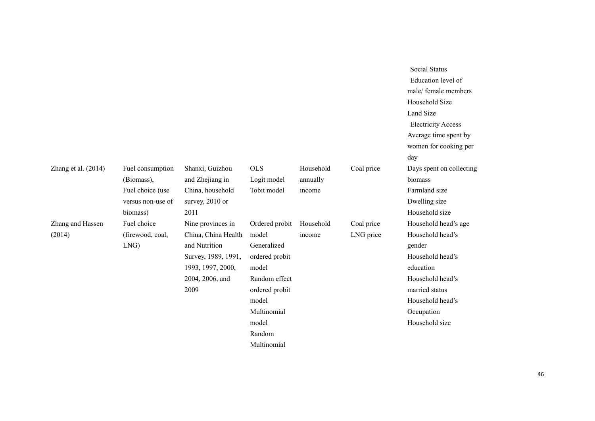|                       |                   |                     |                |           |            | <b>Electricity Access</b><br>Average time spent by<br>women for cooking per |
|-----------------------|-------------------|---------------------|----------------|-----------|------------|-----------------------------------------------------------------------------|
|                       |                   |                     |                |           |            | day                                                                         |
| Zhang et al. $(2014)$ | Fuel consumption  | Shanxi, Guizhou     | <b>OLS</b>     | Household | Coal price | Days spent on collecting                                                    |
|                       | (Biomass),        | and Zhejiang in     | Logit model    | annually  |            | biomass                                                                     |
|                       | Fuel choice (use  | China, household    | Tobit model    | income    |            | Farmland size                                                               |
|                       | versus non-use of | survey, 2010 or     |                |           |            | Dwelling size                                                               |
|                       | biomass)          | 2011                |                |           |            | Household size                                                              |
| Zhang and Hassen      | Fuel choice       | Nine provinces in   | Ordered probit | Household | Coal price | Household head's age                                                        |
| (2014)                | (firewood, coal,  | China, China Health | model          | income    | LNG price  | Household head's                                                            |
|                       | LNG)              | and Nutrition       | Generalized    |           |            | gender                                                                      |
|                       |                   | Survey, 1989, 1991, | ordered probit |           |            | Household head's                                                            |
|                       |                   | 1993, 1997, 2000,   | model          |           |            | education                                                                   |
|                       |                   | 2004, 2006, and     | Random effect  |           |            | Household head's                                                            |
|                       |                   | 2009                | ordered probit |           |            | married status                                                              |
|                       |                   |                     | model          |           |            | Household head's                                                            |
|                       |                   |                     | Multinomial    |           |            | Occupation                                                                  |
|                       |                   |                     | model          |           |            | Household size                                                              |
|                       |                   |                     | Random         |           |            |                                                                             |
|                       |                   |                     | Multinomial    |           |            |                                                                             |

 Social Status Education level of male/ female members

Household Size Land Size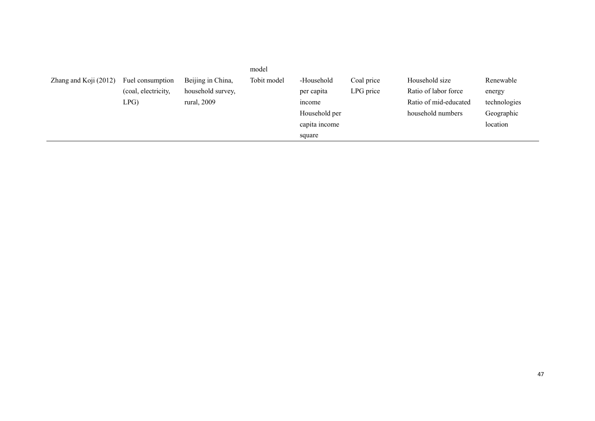|                       |                     |                   | model       |               |            |                       |              |
|-----------------------|---------------------|-------------------|-------------|---------------|------------|-----------------------|--------------|
| Zhang and Koji (2012) | Fuel consumption    | Beijing in China, | Tobit model | -Household    | Coal price | Household size        | Renewable    |
|                       | (coal, electricity, | household survey, |             | per capita    | LPG price  | Ratio of labor force  | energy       |
|                       | LPG                 | rural, 2009       |             | <i>n</i> come |            | Ratio of mid-educated | technologies |
|                       |                     |                   |             | Household per |            | household numbers     | Geographic   |
|                       |                     |                   |             | capita income |            |                       | location     |
|                       |                     |                   |             | square        |            |                       |              |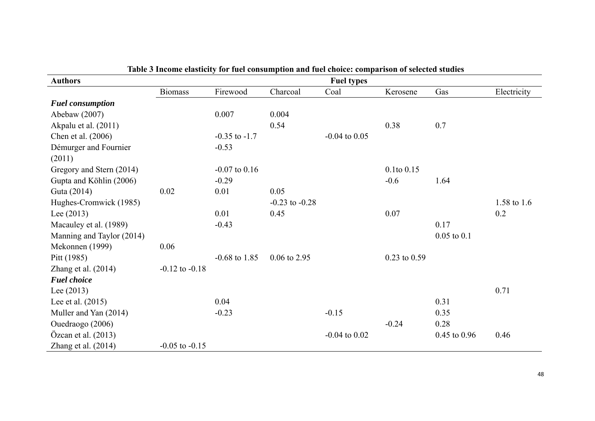| <b>Authors</b>            |                    | TOT TWAT COMPAN   |                    | <b>Fuel types</b> |                  |                  |             |
|---------------------------|--------------------|-------------------|--------------------|-------------------|------------------|------------------|-------------|
|                           | <b>Biomass</b>     | Firewood          | Charcoal           | Coal              | Kerosene         | Gas              | Electricity |
| <b>Fuel consumption</b>   |                    |                   |                    |                   |                  |                  |             |
| Abebaw (2007)             |                    | 0.007             | 0.004              |                   |                  |                  |             |
| Akpalu et al. (2011)      |                    |                   | 0.54               |                   | 0.38             | 0.7              |             |
| Chen et al. (2006)        |                    | $-0.35$ to $-1.7$ |                    | $-0.04$ to $0.05$ |                  |                  |             |
| Démurger and Fournier     |                    | $-0.53$           |                    |                   |                  |                  |             |
| (2011)                    |                    |                   |                    |                   |                  |                  |             |
| Gregory and Stern (2014)  |                    | $-0.07$ to $0.16$ |                    |                   | $0.1$ to $0.15$  |                  |             |
| Gupta and Köhlin (2006)   |                    | $-0.29$           |                    |                   | $-0.6$           | 1.64             |             |
| Guta (2014)               | 0.02               | 0.01              | 0.05               |                   |                  |                  |             |
| Hughes-Cromwick (1985)    |                    |                   | $-0.23$ to $-0.28$ |                   |                  |                  | 1.58 to 1.6 |
| Lee $(2013)$              |                    | 0.01              | 0.45               |                   | 0.07             |                  | 0.2         |
| Macauley et al. (1989)    |                    | $-0.43$           |                    |                   |                  | 0.17             |             |
| Manning and Taylor (2014) |                    |                   |                    |                   |                  | $0.05$ to $0.1$  |             |
| Mekonnen (1999)           | 0.06               |                   |                    |                   |                  |                  |             |
| Pitt (1985)               |                    | $-0.68$ to 1.85   | $0.06$ to 2.95     |                   | $0.23$ to $0.59$ |                  |             |
| Zhang et al. $(2014)$     | $-0.12$ to $-0.18$ |                   |                    |                   |                  |                  |             |
| <b>Fuel choice</b>        |                    |                   |                    |                   |                  |                  |             |
| Lee $(2013)$              |                    |                   |                    |                   |                  |                  | 0.71        |
| Lee et al. $(2015)$       |                    | 0.04              |                    |                   |                  | 0.31             |             |
| Muller and Yan (2014)     |                    | $-0.23$           |                    | $-0.15$           |                  | 0.35             |             |
| Ouedraogo (2006)          |                    |                   |                    |                   | $-0.24$          | 0.28             |             |
| Özcan et al. $(2013)$     |                    |                   |                    | $-0.04$ to $0.02$ |                  | $0.45$ to $0.96$ | 0.46        |
| Zhang et al. $(2014)$     | $-0.05$ to $-0.15$ |                   |                    |                   |                  |                  |             |

**Table 3 Income elasticity for fuel consumption and fuel choice: comparison of selected studies**